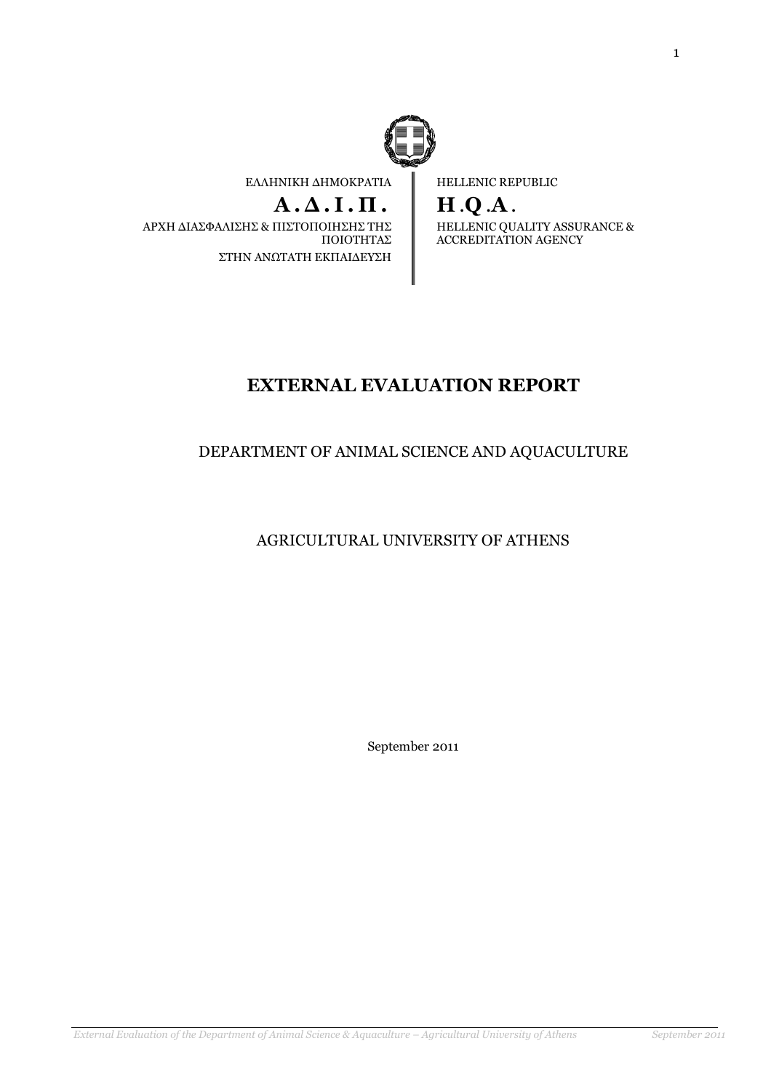

ΕΛΛΗΝΙΚΗ ∆ΗΜΟΚΡΑΤΙΑ

## $A.A.I.\Pi.$

 ΑΡΧΗ ∆ΙΑΣΦΑΛΙΣΗΣ & ΠΙΣΤΟΠΟΙΗΣΗΣ ΤΗΣ ΠΟΙΟΤΗΤΑΣ ΣΤΗΝ ΑΝΩΤΑΤΗ ΕΚΠΑΙ∆ΕΥΣΗ

HELLENIC REPUBLIC

H .Q .A . HELLENIC QUALITY ASSURANCE & ACCREDITATION AGENCY

# EXTERNAL EVALUATION REPORT

## DEPARTMENT OF ANIMAL SCIENCE AND AQUACULTURE

AGRICULTURAL UNIVERSITY OF ATHENS

September 2011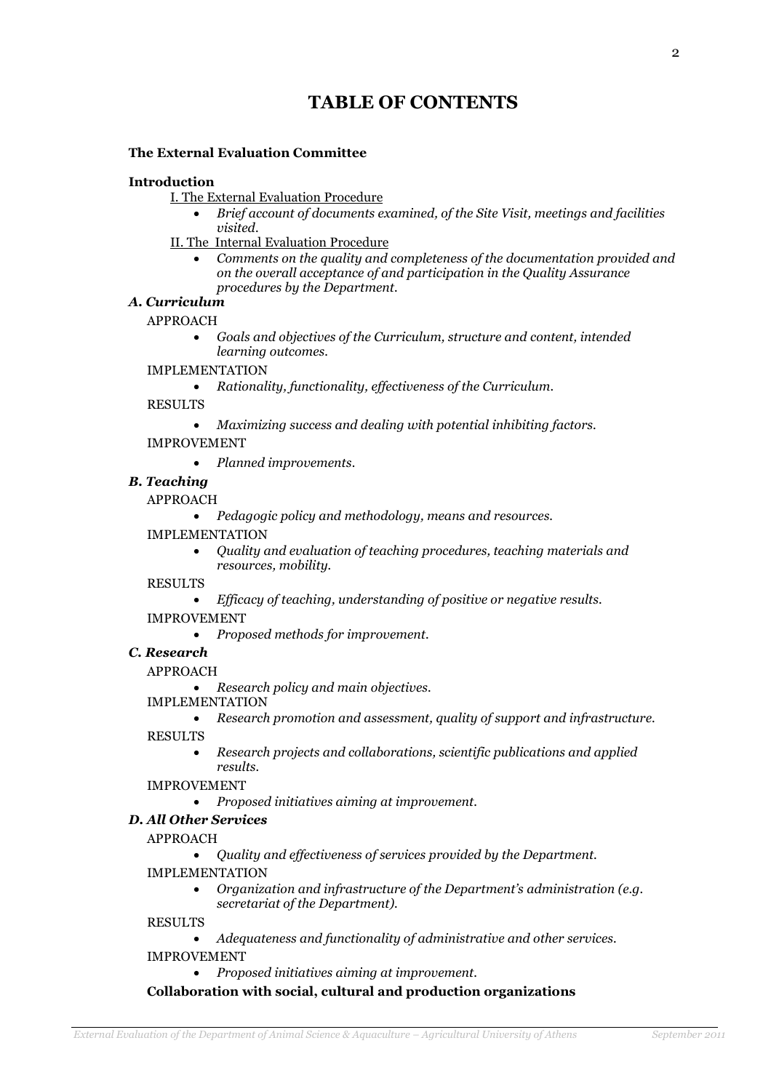# TABLE OF CONTENTS

### The External Evaluation Committee

#### Introduction

- I. The External Evaluation Procedure
	- Brief account of documents examined, of the Site Visit, meetings and facilities visited.
- II. The Internal Evaluation Procedure
	- Comments on the quality and completeness of the documentation provided and on the overall acceptance of and participation in the Quality Assurance procedures by the Department.

### A. Curriculum

#### APPROACH

• Goals and objectives of the Curriculum, structure and content, intended learning outcomes.

## IMPLEMENTATION

• Rationality, functionality, effectiveness of the Curriculum.

RESULTS

• Maximizing success and dealing with potential inhibiting factors.

#### IMPROVEMENT

• Planned improvements.

## B. Teaching

#### APPROACH

• Pedagogic policy and methodology, means and resources.

#### IMPLEMENTATION

• Quality and evaluation of teaching procedures, teaching materials and resources, mobility.

RESULTS

• Efficacy of teaching, understanding of positive or negative results.

IMPROVEMENT

• Proposed methods for improvement.

#### C. Research

APPROACH

• Research policy and main objectives.

- IMPLEMENTATION
	- Research promotion and assessment, quality of support and infrastructure.

RESULTS

• Research projects and collaborations, scientific publications and applied results.

#### IMPROVEMENT

• Proposed initiatives aiming at improvement.

## D. All Other Services

APPROACH

- Quality and effectiveness of services provided by the Department.
- IMPLEMENTATION
	- Organization and infrastructure of the Department's administration (e.g. secretariat of the Department).

RESULTS

• Adequateness and functionality of administrative and other services.

#### IMPROVEMENT

• Proposed initiatives aiming at improvement.

Collaboration with social, cultural and production organizations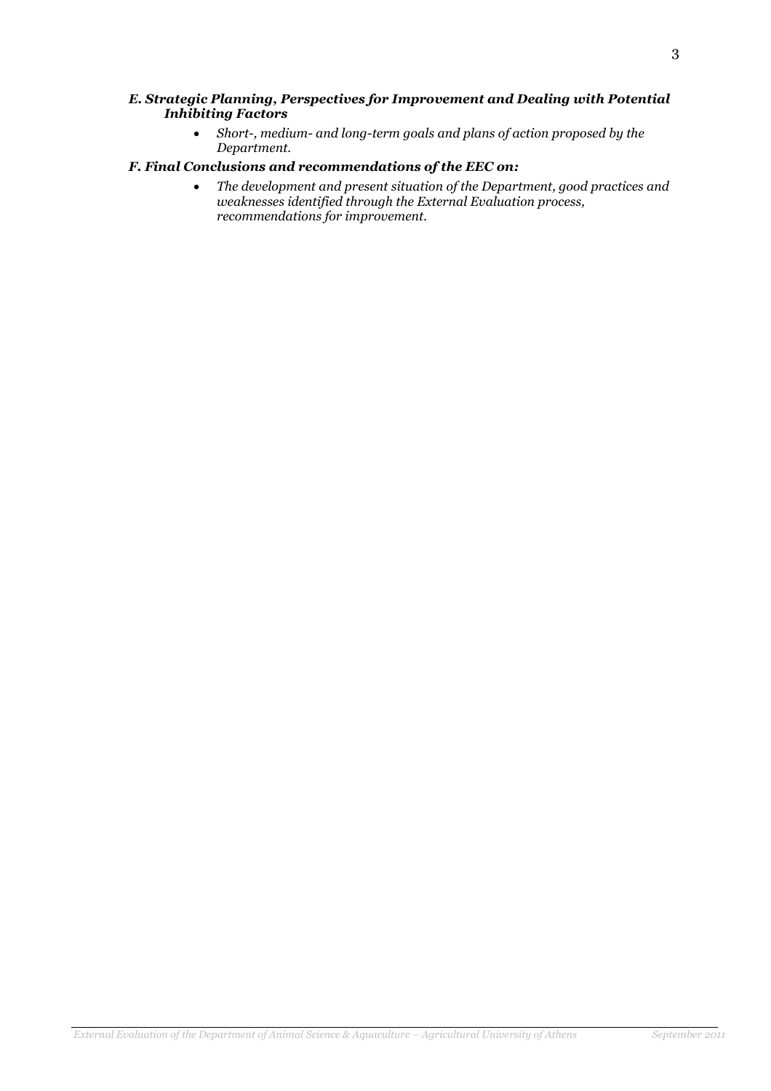#### E. Strategic Planning, Perspectives for Improvement and Dealing with Potential Inhibiting Factors

• Short-, medium- and long-term goals and plans of action proposed by the Department.

### F. Final Conclusions and recommendations of the EEC on:

• The development and present situation of the Department, good practices and weaknesses identified through the External Evaluation process, recommendations for improvement.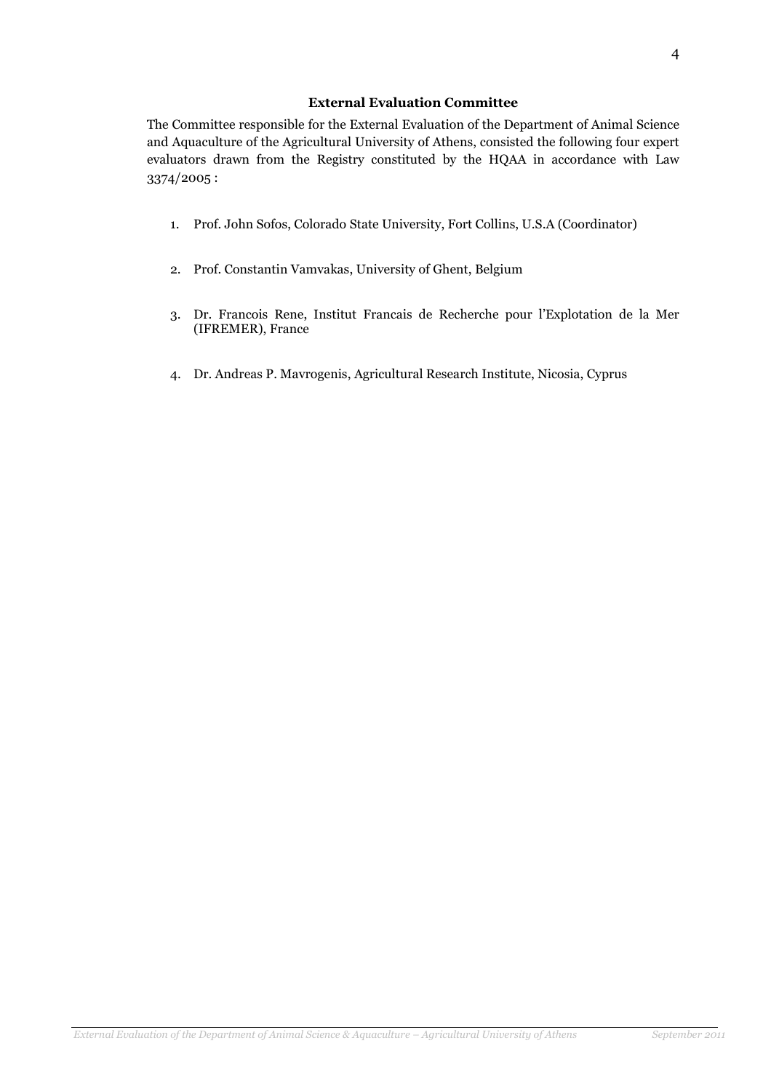## External Evaluation Committee

The Committee responsible for the External Evaluation of the Department of Animal Science and Aquaculture of the Agricultural University of Athens, consisted the following four expert evaluators drawn from the Registry constituted by the HQAA in accordance with Law 3374/2005 :

- 1. Prof. John Sofos, Colorado State University, Fort Collins, U.S.A (Coordinator)
- 2. Prof. Constantin Vamvakas, University of Ghent, Belgium
- 3. Dr. Francois Rene, Institut Francais de Recherche pour l'Explotation de la Mer (IFREMER), France
- 4. Dr. Andreas P. Mavrogenis, Agricultural Research Institute, Nicosia, Cyprus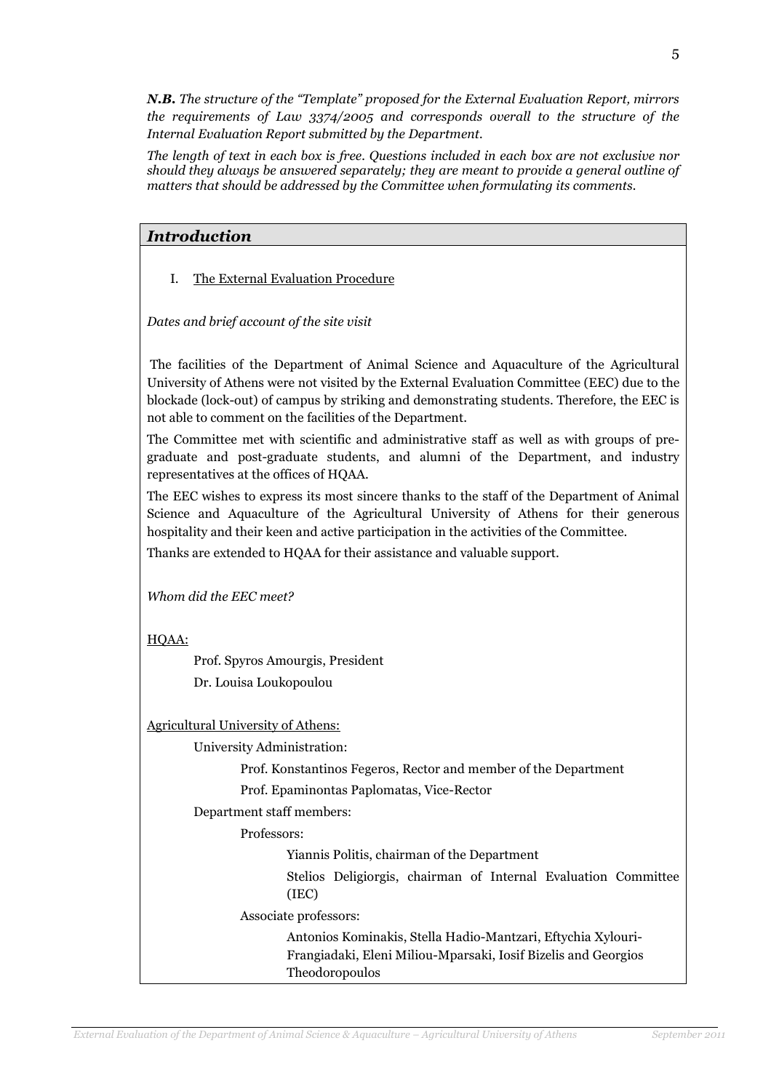N.B. The structure of the "Template" proposed for the External Evaluation Report, mirrors the requirements of Law 3374/2005 and corresponds overall to the structure of the Internal Evaluation Report submitted by the Department.

The length of text in each box is free. Questions included in each box are not exclusive nor should they always be answered separately; they are meant to provide a general outline of matters that should be addressed by the Committee when formulating its comments.

## Introduction

I. The External Evaluation Procedure

Dates and brief account of the site visit

 The facilities of the Department of Animal Science and Aquaculture of the Agricultural University of Athens were not visited by the External Evaluation Committee (EEC) due to the blockade (lock-out) of campus by striking and demonstrating students. Therefore, the EEC is not able to comment on the facilities of the Department.

The Committee met with scientific and administrative staff as well as with groups of pregraduate and post-graduate students, and alumni of the Department, and industry representatives at the offices of HQAA.

The EEC wishes to express its most sincere thanks to the staff of the Department of Animal Science and Aquaculture of the Agricultural University of Athens for their generous hospitality and their keen and active participation in the activities of the Committee.

Thanks are extended to HQAA for their assistance and valuable support.

Whom did the EEC meet?

HQAA:

Prof. Spyros Amourgis, President Dr. Louisa Loukopoulou

Agricultural University of Athens:

University Administration:

Prof. Konstantinos Fegeros, Rector and member of the Department

Prof. Epaminontas Paplomatas, Vice-Rector

Department staff members:

Professors:

Yiannis Politis, chairman of the Department

Stelios Deligiorgis, chairman of Internal Evaluation Committee (IEC)

Associate professors:

Antonios Kominakis, Stella Hadio-Mantzari, Eftychia Xylouri-Frangiadaki, Eleni Miliou-Mparsaki, Iosif Bizelis and Georgios Theodoropoulos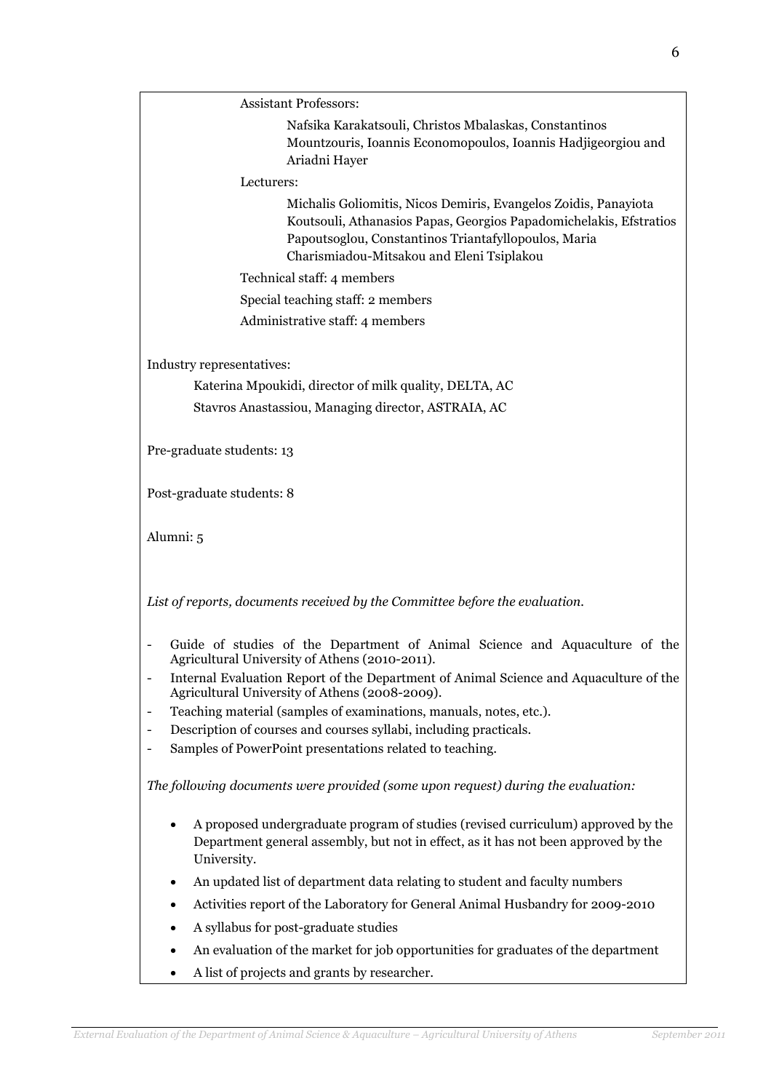Assistant Professors:

Nafsika Karakatsouli, Christos Mbalaskas, Constantinos Mountzouris, Ioannis Economopoulos, Ioannis Hadjigeorgiou and Ariadni Hayer

Lecturers:

Michalis Goliomitis, Nicos Demiris, Evangelos Zoidis, Panayiota Koutsouli, Athanasios Papas, Georgios Papadomichelakis, Efstratios Papoutsoglou, Constantinos Triantafyllopoulos, Maria Charismiadou-Mitsakou and Eleni Tsiplakou

Technical staff: 4 members

Special teaching staff: 2 members

Administrative staff: 4 members

Industry representatives:

Katerina Mpoukidi, director of milk quality, DELTA, AC Stavros Anastassiou, Managing director, ASTRAIA, AC

Pre-graduate students: 13

Post-graduate students: 8

Alumni: 5

List of reports, documents received by the Committee before the evaluation.

- Guide of studies of the Department of Animal Science and Aquaculture of the Agricultural University of Athens (2010-2011).
- Internal Evaluation Report of the Department of Animal Science and Aquaculture of the Agricultural University of Athens (2008-2009).
- Teaching material (samples of examinations, manuals, notes, etc.).
- Description of courses and courses syllabi, including practicals.
- Samples of PowerPoint presentations related to teaching.

The following documents were provided (some upon request) during the evaluation:

- A proposed undergraduate program of studies (revised curriculum) approved by the Department general assembly, but not in effect, as it has not been approved by the University.
- An updated list of department data relating to student and faculty numbers
- Activities report of the Laboratory for General Animal Husbandry for 2009-2010
- A syllabus for post-graduate studies
- An evaluation of the market for job opportunities for graduates of the department
- A list of projects and grants by researcher.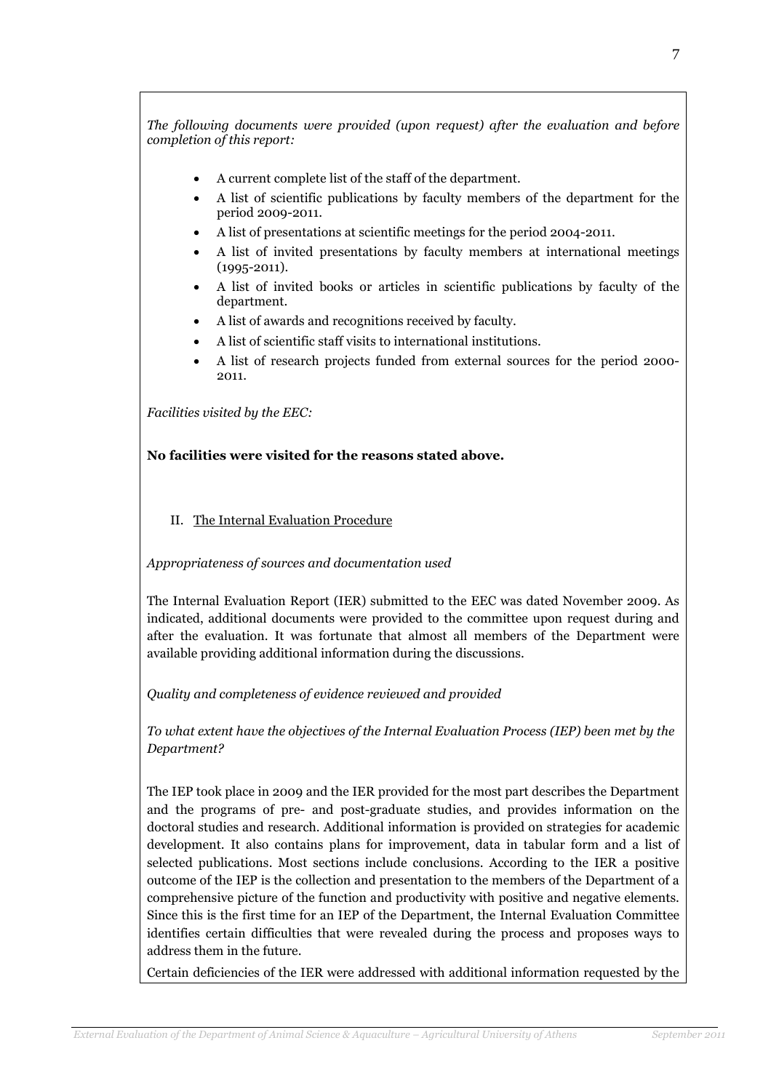The following documents were provided (upon request) after the evaluation and before completion of this report:

- A current complete list of the staff of the department.
- A list of scientific publications by faculty members of the department for the period 2009-2011.
- A list of presentations at scientific meetings for the period 2004-2011.
- A list of invited presentations by faculty members at international meetings (1995-2011).
- A list of invited books or articles in scientific publications by faculty of the department.
- A list of awards and recognitions received by faculty.
- A list of scientific staff visits to international institutions.
- A list of research projects funded from external sources for the period 2000- 2011.

Facilities visited by the EEC:

## No facilities were visited for the reasons stated above.

II. The Internal Evaluation Procedure

#### Appropriateness of sources and documentation used

The Internal Evaluation Report (IER) submitted to the EEC was dated November 2009. As indicated, additional documents were provided to the committee upon request during and after the evaluation. It was fortunate that almost all members of the Department were available providing additional information during the discussions.

Quality and completeness of evidence reviewed and provided

To what extent have the objectives of the Internal Evaluation Process (IEP) been met by the Department?

The IEP took place in 2009 and the IER provided for the most part describes the Department and the programs of pre- and post-graduate studies, and provides information on the doctoral studies and research. Additional information is provided on strategies for academic development. It also contains plans for improvement, data in tabular form and a list of selected publications. Most sections include conclusions. According to the IER a positive outcome of the IEP is the collection and presentation to the members of the Department of a comprehensive picture of the function and productivity with positive and negative elements. Since this is the first time for an IEP of the Department, the Internal Evaluation Committee identifies certain difficulties that were revealed during the process and proposes ways to address them in the future.

Certain deficiencies of the IER were addressed with additional information requested by the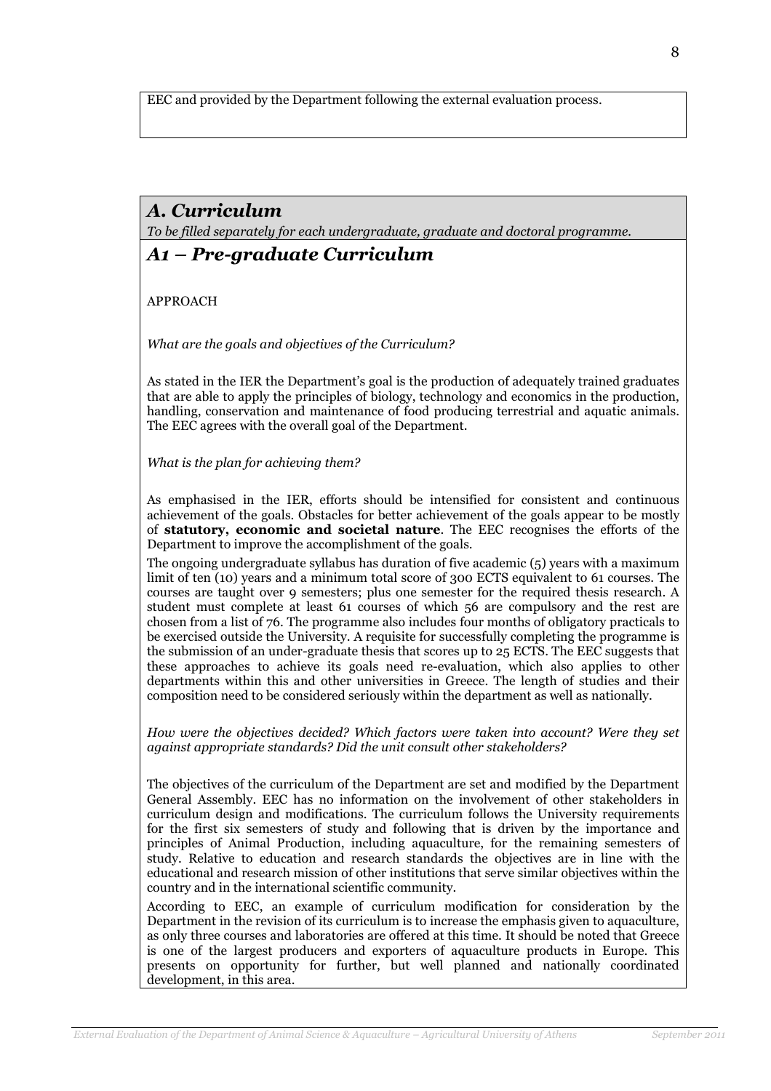EEC and provided by the Department following the external evaluation process.

# A. Curriculum

To be filled separately for each undergraduate, graduate and doctoral programme.

## A1 – Pre-graduate Curriculum

APPROACH

What are the goals and objectives of the Curriculum?

As stated in the IER the Department's goal is the production of adequately trained graduates that are able to apply the principles of biology, technology and economics in the production, handling, conservation and maintenance of food producing terrestrial and aquatic animals. The EEC agrees with the overall goal of the Department.

What is the plan for achieving them?

As emphasised in the IER, efforts should be intensified for consistent and continuous achievement of the goals. Obstacles for better achievement of the goals appear to be mostly of statutory, economic and societal nature. The EEC recognises the efforts of the Department to improve the accomplishment of the goals.

The ongoing undergraduate syllabus has duration of five academic (5) years with a maximum limit of ten (10) years and a minimum total score of 300 ECTS equivalent to 61 courses. The courses are taught over 9 semesters; plus one semester for the required thesis research. A student must complete at least 61 courses of which 56 are compulsory and the rest are chosen from a list of 76. The programme also includes four months of obligatory practicals to be exercised outside the University. A requisite for successfully completing the programme is the submission of an under-graduate thesis that scores up to 25 ECTS. The EEC suggests that these approaches to achieve its goals need re-evaluation, which also applies to other departments within this and other universities in Greece. The length of studies and their composition need to be considered seriously within the department as well as nationally.

How were the objectives decided? Which factors were taken into account? Were they set against appropriate standards? Did the unit consult other stakeholders?

The objectives of the curriculum of the Department are set and modified by the Department General Assembly. EEC has no information on the involvement of other stakeholders in curriculum design and modifications. The curriculum follows the University requirements for the first six semesters of study and following that is driven by the importance and principles of Animal Production, including aquaculture, for the remaining semesters of study. Relative to education and research standards the objectives are in line with the educational and research mission of other institutions that serve similar objectives within the country and in the international scientific community.

According to EEC, an example of curriculum modification for consideration by the Department in the revision of its curriculum is to increase the emphasis given to aquaculture, as only three courses and laboratories are offered at this time. It should be noted that Greece is one of the largest producers and exporters of aquaculture products in Europe. This presents on opportunity for further, but well planned and nationally coordinated development, in this area.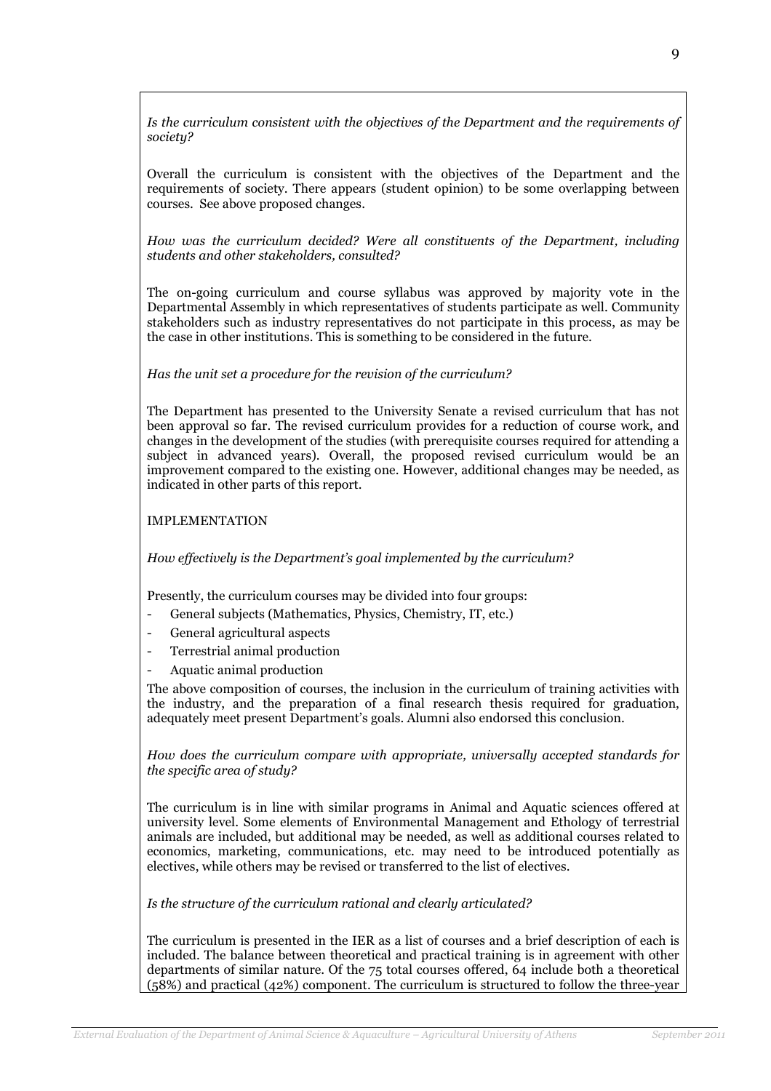Is the curriculum consistent with the objectives of the Department and the requirements of societu?

Overall the curriculum is consistent with the objectives of the Department and the requirements of society. There appears (student opinion) to be some overlapping between courses. See above proposed changes.

How was the curriculum decided? Were all constituents of the Department, including students and other stakeholders, consulted?

The on-going curriculum and course syllabus was approved by majority vote in the Departmental Assembly in which representatives of students participate as well. Community stakeholders such as industry representatives do not participate in this process, as may be the case in other institutions. This is something to be considered in the future.

#### Has the unit set a procedure for the revision of the curriculum?

The Department has presented to the University Senate a revised curriculum that has not been approval so far. The revised curriculum provides for a reduction of course work, and changes in the development of the studies (with prerequisite courses required for attending a subject in advanced years). Overall, the proposed revised curriculum would be an improvement compared to the existing one. However, additional changes may be needed, as indicated in other parts of this report.

#### IMPLEMENTATION

How effectively is the Department's goal implemented by the curriculum?

Presently, the curriculum courses may be divided into four groups:

- General subjects (Mathematics, Physics, Chemistry, IT, etc.)
- General agricultural aspects
- Terrestrial animal production
- Aquatic animal production

The above composition of courses, the inclusion in the curriculum of training activities with the industry, and the preparation of a final research thesis required for graduation, adequately meet present Department's goals. Alumni also endorsed this conclusion.

How does the curriculum compare with appropriate, universally accepted standards for the specific area of study?

The curriculum is in line with similar programs in Animal and Aquatic sciences offered at university level. Some elements of Environmental Management and Ethology of terrestrial animals are included, but additional may be needed, as well as additional courses related to economics, marketing, communications, etc. may need to be introduced potentially as electives, while others may be revised or transferred to the list of electives.

Is the structure of the curriculum rational and clearly articulated?

The curriculum is presented in the IER as a list of courses and a brief description of each is included. The balance between theoretical and practical training is in agreement with other departments of similar nature. Of the 75 total courses offered, 64 include both a theoretical (58%) and practical (42%) component. The curriculum is structured to follow the three-year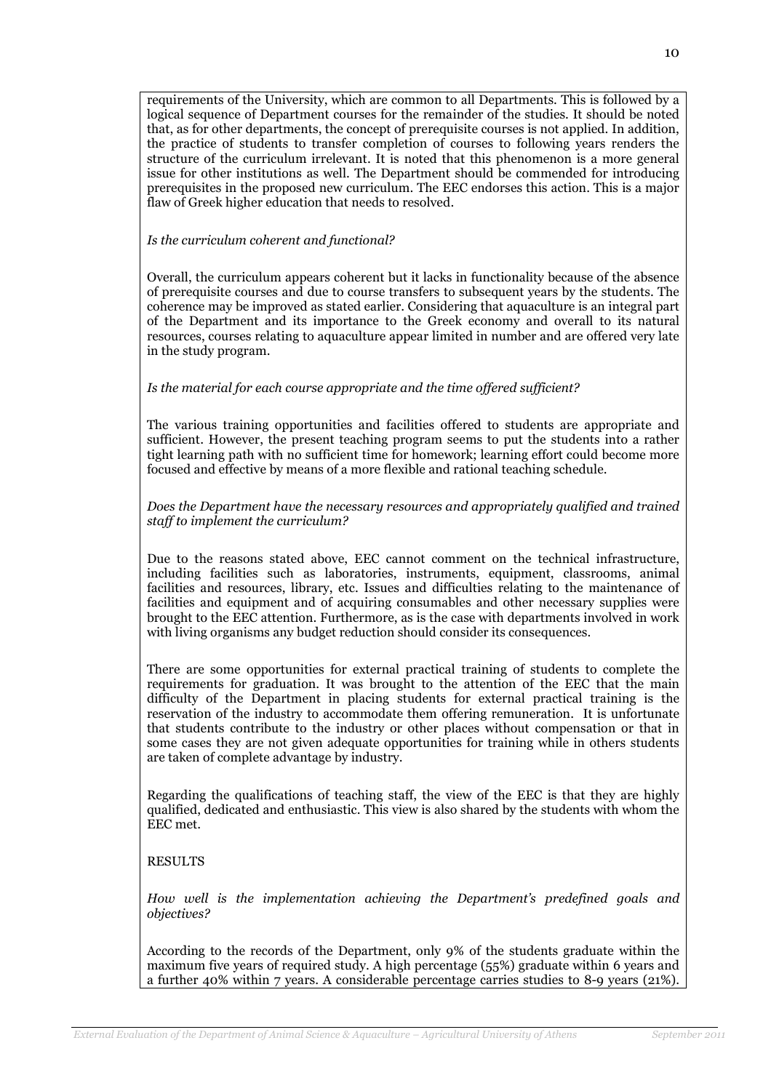requirements of the University, which are common to all Departments. This is followed by a logical sequence of Department courses for the remainder of the studies. It should be noted that, as for other departments, the concept of prerequisite courses is not applied. In addition, the practice of students to transfer completion of courses to following years renders the structure of the curriculum irrelevant. It is noted that this phenomenon is a more general issue for other institutions as well. The Department should be commended for introducing prerequisites in the proposed new curriculum. The EEC endorses this action. This is a major flaw of Greek higher education that needs to resolved.

#### Is the curriculum coherent and functional?

Overall, the curriculum appears coherent but it lacks in functionality because of the absence of prerequisite courses and due to course transfers to subsequent years by the students. The coherence may be improved as stated earlier. Considering that aquaculture is an integral part of the Department and its importance to the Greek economy and overall to its natural resources, courses relating to aquaculture appear limited in number and are offered very late in the study program.

#### Is the material for each course appropriate and the time offered sufficient?

The various training opportunities and facilities offered to students are appropriate and sufficient. However, the present teaching program seems to put the students into a rather tight learning path with no sufficient time for homework; learning effort could become more focused and effective by means of a more flexible and rational teaching schedule.

#### Does the Department have the necessary resources and appropriately qualified and trained staff to implement the curriculum?

Due to the reasons stated above, EEC cannot comment on the technical infrastructure, including facilities such as laboratories, instruments, equipment, classrooms, animal facilities and resources, library, etc. Issues and difficulties relating to the maintenance of facilities and equipment and of acquiring consumables and other necessary supplies were brought to the EEC attention. Furthermore, as is the case with departments involved in work with living organisms any budget reduction should consider its consequences.

There are some opportunities for external practical training of students to complete the requirements for graduation. It was brought to the attention of the EEC that the main difficulty of the Department in placing students for external practical training is the reservation of the industry to accommodate them offering remuneration. It is unfortunate that students contribute to the industry or other places without compensation or that in some cases they are not given adequate opportunities for training while in others students are taken of complete advantage by industry.

Regarding the qualifications of teaching staff, the view of the EEC is that they are highly qualified, dedicated and enthusiastic. This view is also shared by the students with whom the EEC met.

#### RESULTS

How well is the implementation achieving the Department's predefined goals and objectives?

According to the records of the Department, only 9% of the students graduate within the maximum five years of required study. A high percentage (55%) graduate within 6 years and a further 40% within 7 years. A considerable percentage carries studies to 8-9 years (21%).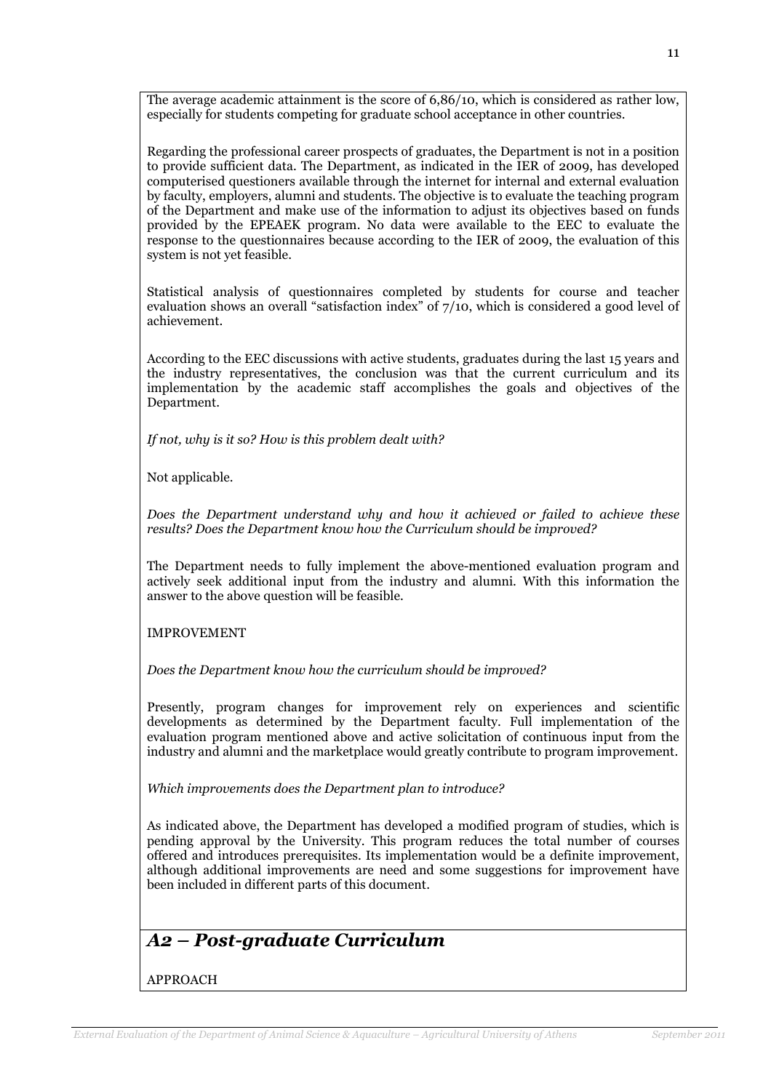The average academic attainment is the score of 6,86/10, which is considered as rather low, especially for students competing for graduate school acceptance in other countries.

Regarding the professional career prospects of graduates, the Department is not in a position to provide sufficient data. The Department, as indicated in the IER of 2009, has developed computerised questioners available through the internet for internal and external evaluation by faculty, employers, alumni and students. The objective is to evaluate the teaching program of the Department and make use of the information to adjust its objectives based on funds provided by the EPEAEK program. No data were available to the EEC to evaluate the response to the questionnaires because according to the IER of 2009, the evaluation of this system is not yet feasible.

Statistical analysis of questionnaires completed by students for course and teacher evaluation shows an overall "satisfaction index" of 7/10, which is considered a good level of achievement.

According to the EEC discussions with active students, graduates during the last 15 years and the industry representatives, the conclusion was that the current curriculum and its implementation by the academic staff accomplishes the goals and objectives of the Department.

If not, why is it so? How is this problem dealt with?

Not applicable.

Does the Department understand why and how it achieved or failed to achieve these results? Does the Department know how the Curriculum should be improved?

The Department needs to fully implement the above-mentioned evaluation program and actively seek additional input from the industry and alumni. With this information the answer to the above question will be feasible.

IMPROVEMENT

Does the Department know how the curriculum should be improved?

Presently, program changes for improvement rely on experiences and scientific developments as determined by the Department faculty. Full implementation of the evaluation program mentioned above and active solicitation of continuous input from the industry and alumni and the marketplace would greatly contribute to program improvement.

Which improvements does the Department plan to introduce?

As indicated above, the Department has developed a modified program of studies, which is pending approval by the University. This program reduces the total number of courses offered and introduces prerequisites. Its implementation would be a definite improvement, although additional improvements are need and some suggestions for improvement have been included in different parts of this document.

# A2 – Post-graduate Curriculum

APPROACH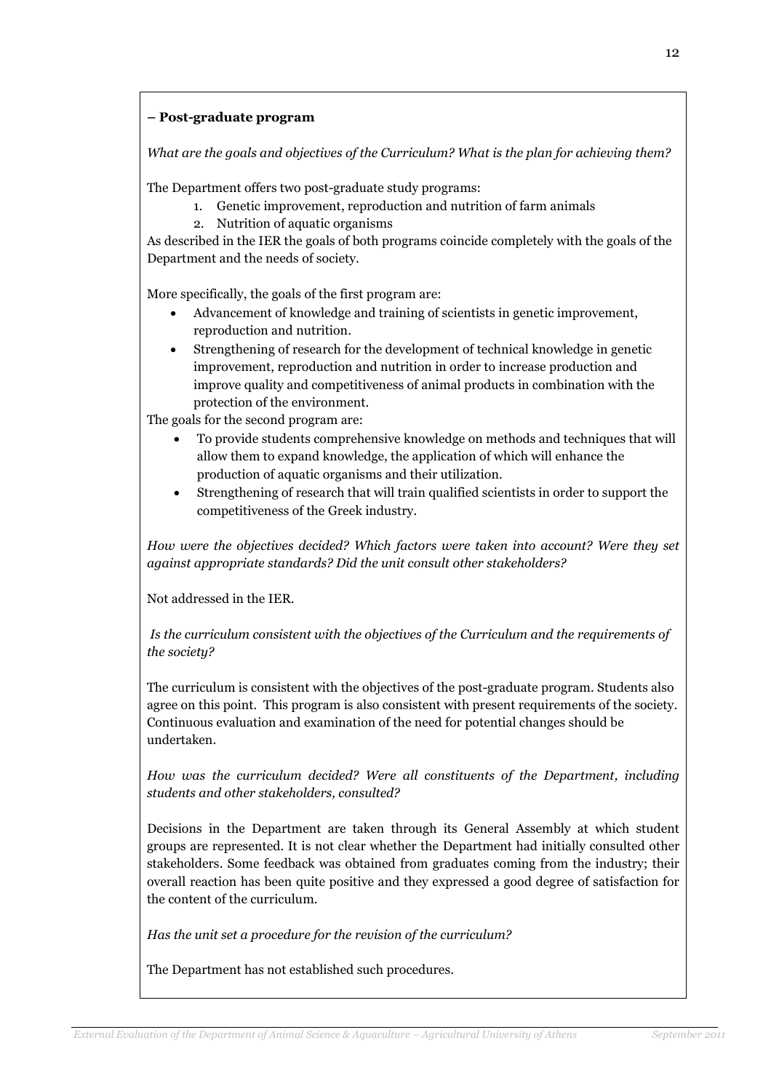## – Post-graduate program

What are the goals and objectives of the Curriculum? What is the plan for achieving them?

The Department offers two post-graduate study programs:

- 1. Genetic improvement, reproduction and nutrition of farm animals
- 2. Nutrition of aquatic organisms

As described in the IER the goals of both programs coincide completely with the goals of the Department and the needs of society.

More specifically, the goals of the first program are:

- Advancement of knowledge and training of scientists in genetic improvement, reproduction and nutrition.
- Strengthening of research for the development of technical knowledge in genetic improvement, reproduction and nutrition in order to increase production and improve quality and competitiveness of animal products in combination with the protection of the environment.

The goals for the second program are:

- To provide students comprehensive knowledge on methods and techniques that will allow them to expand knowledge, the application of which will enhance the production of aquatic organisms and their utilization.
- Strengthening of research that will train qualified scientists in order to support the competitiveness of the Greek industry.

How were the objectives decided? Which factors were taken into account? Were they set against appropriate standards? Did the unit consult other stakeholders?

Not addressed in the IER.

 Is the curriculum consistent with the objectives of the Curriculum and the requirements of the society?

The curriculum is consistent with the objectives of the post-graduate program. Students also agree on this point. This program is also consistent with present requirements of the society. Continuous evaluation and examination of the need for potential changes should be undertaken.

How was the curriculum decided? Were all constituents of the Department, including students and other stakeholders, consulted?

Decisions in the Department are taken through its General Assembly at which student groups are represented. It is not clear whether the Department had initially consulted other stakeholders. Some feedback was obtained from graduates coming from the industry; their overall reaction has been quite positive and they expressed a good degree of satisfaction for the content of the curriculum.

Has the unit set a procedure for the revision of the curriculum?

The Department has not established such procedures.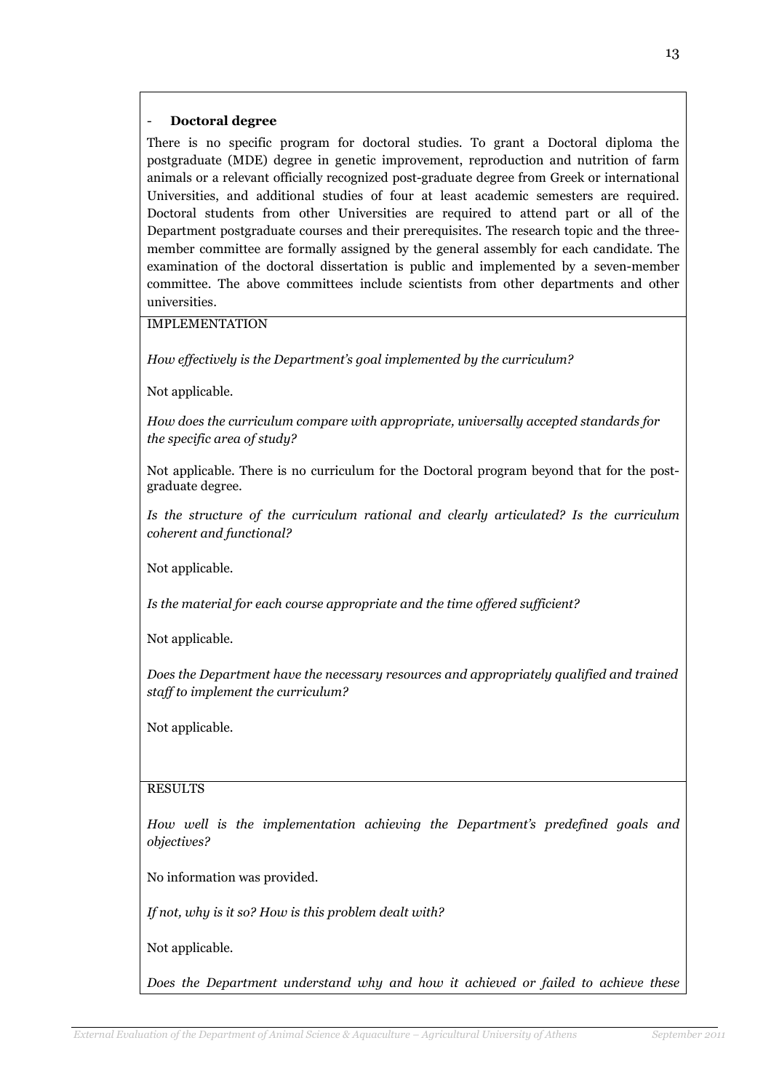### - Doctoral degree

There is no specific program for doctoral studies. To grant a Doctoral diploma the postgraduate (MDE) degree in genetic improvement, reproduction and nutrition of farm animals or a relevant officially recognized post-graduate degree from Greek or international Universities, and additional studies of four at least academic semesters are required. Doctoral students from other Universities are required to attend part or all of the Department postgraduate courses and their prerequisites. The research topic and the threemember committee are formally assigned by the general assembly for each candidate. The examination of the doctoral dissertation is public and implemented by a seven-member committee. The above committees include scientists from other departments and other universities.

IMPLEMENTATION

How effectively is the Department's goal implemented by the curriculum?

Not applicable.

How does the curriculum compare with appropriate, universally accepted standards for the specific area of study?

Not applicable. There is no curriculum for the Doctoral program beyond that for the postgraduate degree.

Is the structure of the curriculum rational and clearly articulated? Is the curriculum coherent and functional?

Not applicable.

Is the material for each course appropriate and the time offered sufficient?

Not applicable.

Does the Department have the necessary resources and appropriately qualified and trained staff to implement the curriculum?

Not applicable.

## RESULTS

How well is the implementation achieving the Department's predefined goals and objectives?

No information was provided.

If not, why is it so? How is this problem dealt with?

Not applicable.

Does the Department understand why and how it achieved or failed to achieve these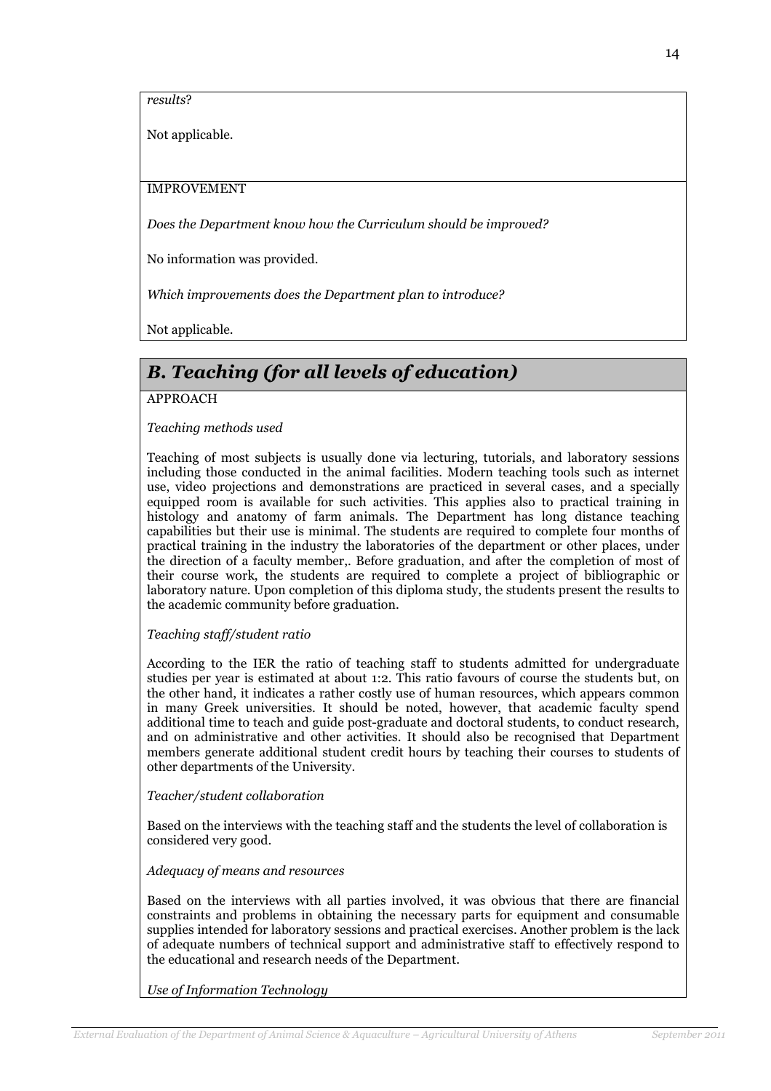results?

Not applicable.

### IMPROVEMENT

Does the Department know how the Curriculum should be improved?

No information was provided.

Which improvements does the Department plan to introduce?

Not applicable.

# B. Teaching (for all levels of education)

## APPROACH

## Teaching methods used

Teaching of most subjects is usually done via lecturing, tutorials, and laboratory sessions including those conducted in the animal facilities. Modern teaching tools such as internet use, video projections and demonstrations are practiced in several cases, and a specially equipped room is available for such activities. This applies also to practical training in histology and anatomy of farm animals. The Department has long distance teaching capabilities but their use is minimal. The students are required to complete four months of practical training in the industry the laboratories of the department or other places, under the direction of a faculty member,. Before graduation, and after the completion of most of their course work, the students are required to complete a project of bibliographic or laboratory nature. Upon completion of this diploma study, the students present the results to the academic community before graduation.

#### Teaching staff/student ratio

According to the IER the ratio of teaching staff to students admitted for undergraduate studies per year is estimated at about 1:2. This ratio favours of course the students but, on the other hand, it indicates a rather costly use of human resources, which appears common in many Greek universities. It should be noted, however, that academic faculty spend additional time to teach and guide post-graduate and doctoral students, to conduct research, and on administrative and other activities. It should also be recognised that Department members generate additional student credit hours by teaching their courses to students of other departments of the University.

#### Teacher/student collaboration

Based on the interviews with the teaching staff and the students the level of collaboration is considered very good.

#### Adequacy of means and resources

Based on the interviews with all parties involved, it was obvious that there are financial constraints and problems in obtaining the necessary parts for equipment and consumable supplies intended for laboratory sessions and practical exercises. Another problem is the lack of adequate numbers of technical support and administrative staff to effectively respond to the educational and research needs of the Department.

Use of Information Technology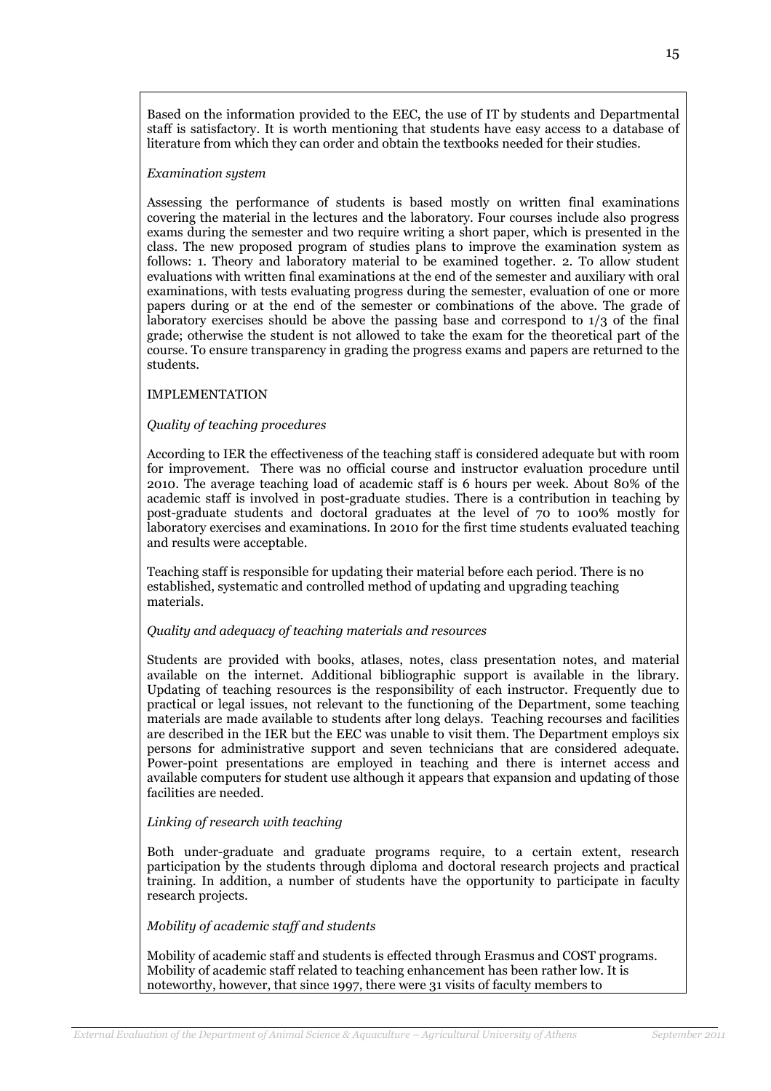Based on the information provided to the EEC, the use of IT by students and Departmental staff is satisfactory. It is worth mentioning that students have easy access to a database of literature from which they can order and obtain the textbooks needed for their studies.

#### Examination system

Assessing the performance of students is based mostly on written final examinations covering the material in the lectures and the laboratory. Four courses include also progress exams during the semester and two require writing a short paper, which is presented in the class. The new proposed program of studies plans to improve the examination system as follows: 1. Theory and laboratory material to be examined together. 2. To allow student evaluations with written final examinations at the end of the semester and auxiliary with oral examinations, with tests evaluating progress during the semester, evaluation of one or more papers during or at the end of the semester or combinations of the above. The grade of laboratory exercises should be above the passing base and correspond to 1/3 of the final grade; otherwise the student is not allowed to take the exam for the theoretical part of the course. To ensure transparency in grading the progress exams and papers are returned to the students.

#### IMPLEMENTATION

#### Quality of teaching procedures

According to IER the effectiveness of the teaching staff is considered adequate but with room for improvement. There was no official course and instructor evaluation procedure until 2010. The average teaching load of academic staff is 6 hours per week. About 80% of the academic staff is involved in post-graduate studies. There is a contribution in teaching by post-graduate students and doctoral graduates at the level of 70 to 100% mostly for laboratory exercises and examinations. In 2010 for the first time students evaluated teaching and results were acceptable.

Teaching staff is responsible for updating their material before each period. There is no established, systematic and controlled method of updating and upgrading teaching materials.

#### Quality and adequacy of teaching materials and resources

Students are provided with books, atlases, notes, class presentation notes, and material available on the internet. Additional bibliographic support is available in the library. Updating of teaching resources is the responsibility of each instructor. Frequently due to practical or legal issues, not relevant to the functioning of the Department, some teaching materials are made available to students after long delays. Teaching recourses and facilities are described in the IER but the EEC was unable to visit them. The Department employs six persons for administrative support and seven technicians that are considered adequate. Power-point presentations are employed in teaching and there is internet access and available computers for student use although it appears that expansion and updating of those facilities are needed.

#### Linking of research with teaching

Both under-graduate and graduate programs require, to a certain extent, research participation by the students through diploma and doctoral research projects and practical training. In addition, a number of students have the opportunity to participate in faculty research projects.

#### Mobility of academic staff and students

Mobility of academic staff and students is effected through Erasmus and COST programs. Mobility of academic staff related to teaching enhancement has been rather low. It is noteworthy, however, that since 1997, there were 31 visits of faculty members to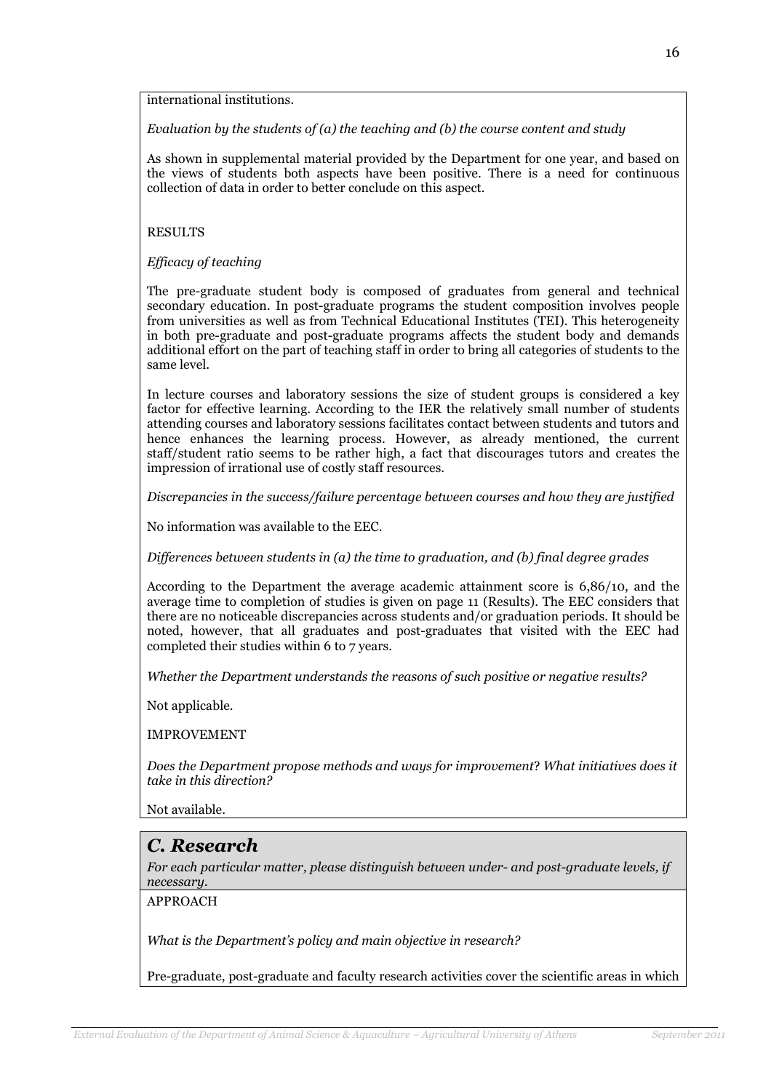international institutions.

Evaluation by the students of  $(a)$  the teaching and  $(b)$  the course content and study

As shown in supplemental material provided by the Department for one year, and based on the views of students both aspects have been positive. There is a need for continuous collection of data in order to better conclude on this aspect.

#### RESULTS

Efficacy of teaching

The pre-graduate student body is composed of graduates from general and technical secondary education. In post-graduate programs the student composition involves people from universities as well as from Technical Educational Institutes (TEI). This heterogeneity in both pre-graduate and post-graduate programs affects the student body and demands additional effort on the part of teaching staff in order to bring all categories of students to the same level.

In lecture courses and laboratory sessions the size of student groups is considered a key factor for effective learning. According to the IER the relatively small number of students attending courses and laboratory sessions facilitates contact between students and tutors and hence enhances the learning process. However, as already mentioned, the current staff/student ratio seems to be rather high, a fact that discourages tutors and creates the impression of irrational use of costly staff resources.

Discrepancies in the success/failure percentage between courses and how they are justified

No information was available to the EEC.

Differences between students in (a) the time to graduation, and (b) final degree grades

According to the Department the average academic attainment score is 6,86/10, and the average time to completion of studies is given on page 11 (Results). The EEC considers that there are no noticeable discrepancies across students and/or graduation periods. It should be noted, however, that all graduates and post-graduates that visited with the EEC had completed their studies within 6 to 7 years.

Whether the Department understands the reasons of such positive or negative results?

Not applicable.

IMPROVEMENT

Does the Department propose methods and ways for improvement? What initiatives does it take in this direction?

Not available.

## C. Research

For each particular matter, please distinguish between under- and post-graduate levels, if necessary.

APPROACH

What is the Department's policy and main objective in research?

Pre-graduate, post-graduate and faculty research activities cover the scientific areas in which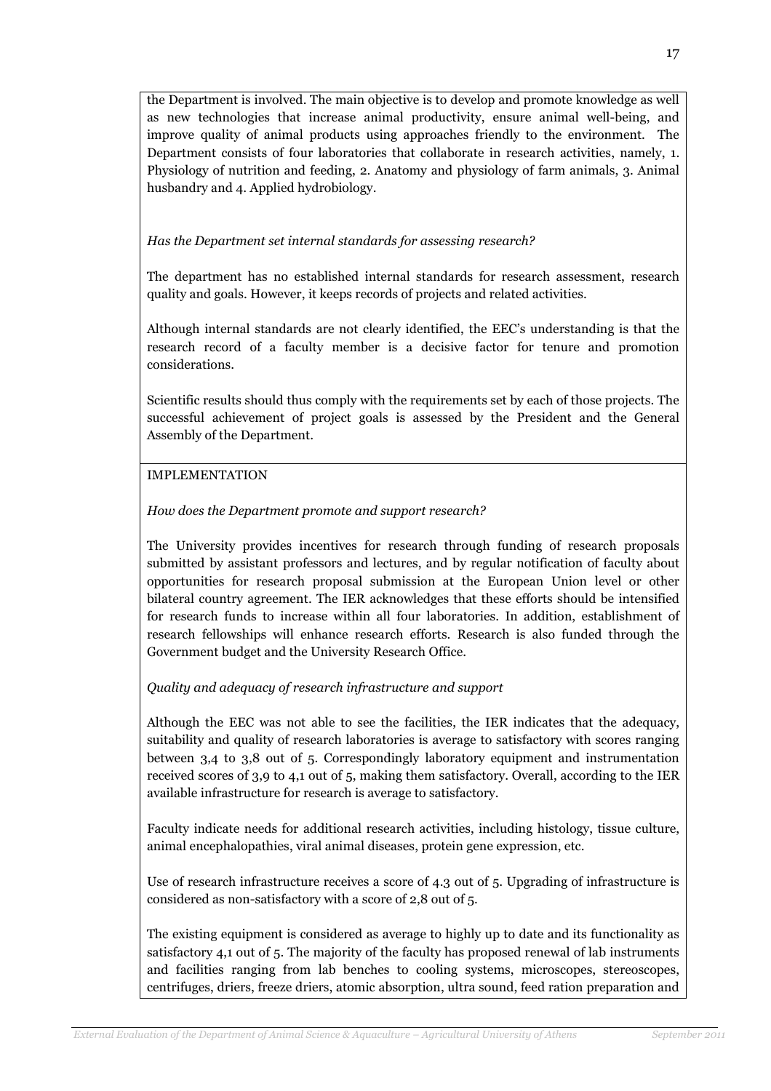the Department is involved. The main objective is to develop and promote knowledge as well as new technologies that increase animal productivity, ensure animal well-being, and improve quality of animal products using approaches friendly to the environment. The Department consists of four laboratories that collaborate in research activities, namely, 1. Physiology of nutrition and feeding, 2. Anatomy and physiology of farm animals, 3. Animal husbandry and 4. Applied hydrobiology.

## Has the Department set internal standards for assessing research?

The department has no established internal standards for research assessment, research quality and goals. However, it keeps records of projects and related activities.

Although internal standards are not clearly identified, the EEC's understanding is that the research record of a faculty member is a decisive factor for tenure and promotion considerations.

Scientific results should thus comply with the requirements set by each of those projects. The successful achievement of project goals is assessed by the President and the General Assembly of the Department.

#### IMPLEMENTATION

## How does the Department promote and support research?

The University provides incentives for research through funding of research proposals submitted by assistant professors and lectures, and by regular notification of faculty about opportunities for research proposal submission at the European Union level or other bilateral country agreement. The IER acknowledges that these efforts should be intensified for research funds to increase within all four laboratories. In addition, establishment of research fellowships will enhance research efforts. Research is also funded through the Government budget and the University Research Office.

#### Quality and adequacy of research infrastructure and support

Although the EEC was not able to see the facilities, the IER indicates that the adequacy, suitability and quality of research laboratories is average to satisfactory with scores ranging between 3,4 to 3,8 out of 5. Correspondingly laboratory equipment and instrumentation received scores of 3,9 to 4,1 out of 5, making them satisfactory. Overall, according to the IER available infrastructure for research is average to satisfactory.

Faculty indicate needs for additional research activities, including histology, tissue culture, animal encephalopathies, viral animal diseases, protein gene expression, etc.

Use of research infrastructure receives a score of 4.3 out of 5. Upgrading of infrastructure is considered as non-satisfactory with a score of 2,8 out of 5.

The existing equipment is considered as average to highly up to date and its functionality as satisfactory 4,1 out of 5. The majority of the faculty has proposed renewal of lab instruments and facilities ranging from lab benches to cooling systems, microscopes, stereoscopes, centrifuges, driers, freeze driers, atomic absorption, ultra sound, feed ration preparation and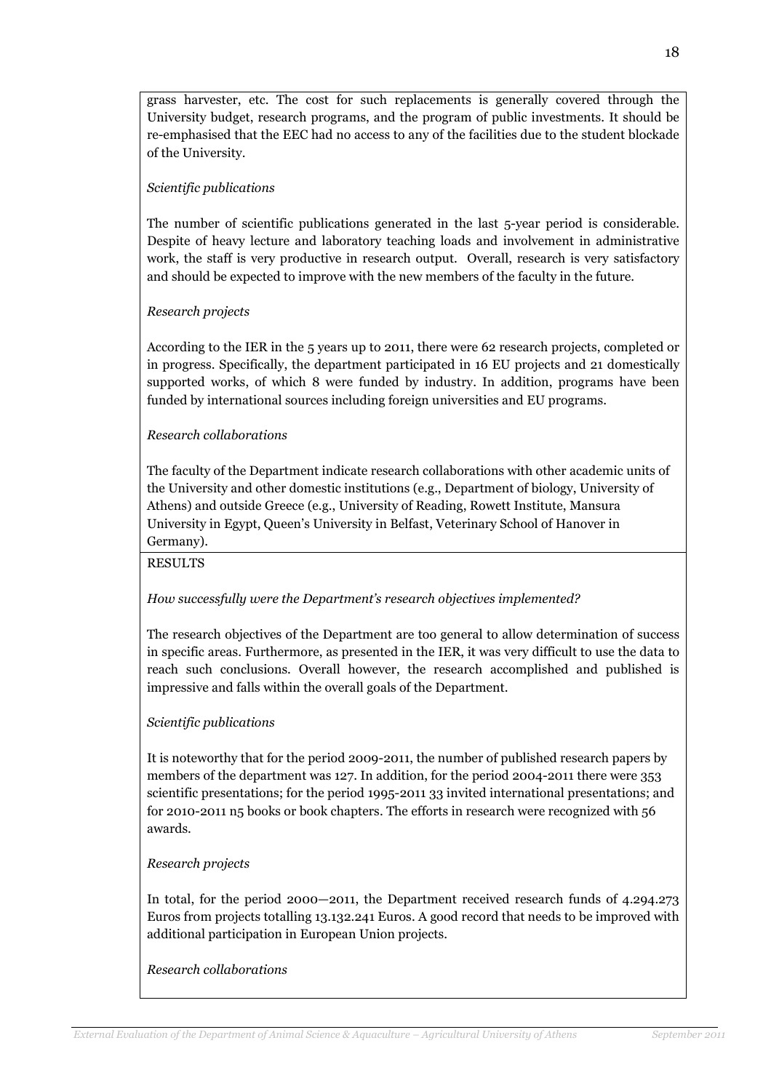grass harvester, etc. The cost for such replacements is generally covered through the University budget, research programs, and the program of public investments. It should be re-emphasised that the EEC had no access to any of the facilities due to the student blockade of the University.

## Scientific publications

The number of scientific publications generated in the last 5-year period is considerable. Despite of heavy lecture and laboratory teaching loads and involvement in administrative work, the staff is very productive in research output. Overall, research is very satisfactory and should be expected to improve with the new members of the faculty in the future.

#### Research projects

According to the IER in the 5 years up to 2011, there were 62 research projects, completed or in progress. Specifically, the department participated in 16 EU projects and 21 domestically supported works, of which 8 were funded by industry. In addition, programs have been funded by international sources including foreign universities and EU programs.

## Research collaborations

The faculty of the Department indicate research collaborations with other academic units of the University and other domestic institutions (e.g., Department of biology, University of Athens) and outside Greece (e.g., University of Reading, Rowett Institute, Mansura University in Egypt, Queen's University in Belfast, Veterinary School of Hanover in Germany).

RESULTS

#### How successfully were the Department's research objectives implemented?

The research objectives of the Department are too general to allow determination of success in specific areas. Furthermore, as presented in the IER, it was very difficult to use the data to reach such conclusions. Overall however, the research accomplished and published is impressive and falls within the overall goals of the Department.

#### Scientific publications

It is noteworthy that for the period 2009-2011, the number of published research papers by members of the department was 127. In addition, for the period 2004-2011 there were 353 scientific presentations; for the period 1995-2011 33 invited international presentations; and for 2010-2011 n5 books or book chapters. The efforts in research were recognized with 56 awards.

#### Research projects

In total, for the period 2000—2011, the Department received research funds of 4.294.273 Euros from projects totalling 13.132.241 Euros. A good record that needs to be improved with additional participation in European Union projects.

#### Research collaborations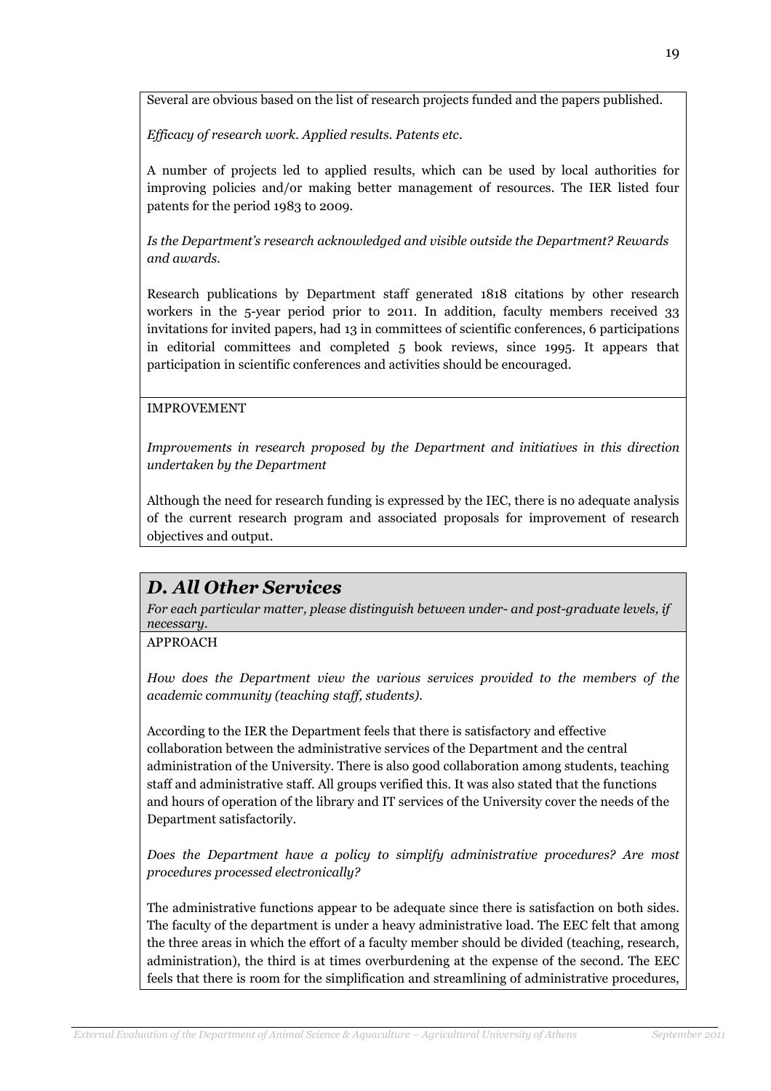Several are obvious based on the list of research projects funded and the papers published.

Efficacy of research work. Applied results. Patents etc.

A number of projects led to applied results, which can be used by local authorities for improving policies and/or making better management of resources. The IER listed four patents for the period 1983 to 2009.

Is the Department's research acknowledged and visible outside the Department? Rewards and awards.

Research publications by Department staff generated 1818 citations by other research workers in the 5-year period prior to 2011. In addition, faculty members received 33 invitations for invited papers, had 13 in committees of scientific conferences, 6 participations in editorial committees and completed 5 book reviews, since 1995. It appears that participation in scientific conferences and activities should be encouraged.

## IMPROVEMENT

Improvements in research proposed by the Department and initiatives in this direction undertaken by the Department

Although the need for research funding is expressed by the IEC, there is no adequate analysis of the current research program and associated proposals for improvement of research objectives and output.

# D. All Other Services

For each particular matter, please distinguish between under- and post-graduate levels, if necessary.

## APPROACH

How does the Department view the various services provided to the members of the academic community (teaching staff, students).

According to the IER the Department feels that there is satisfactory and effective collaboration between the administrative services of the Department and the central administration of the University. There is also good collaboration among students, teaching staff and administrative staff. All groups verified this. It was also stated that the functions and hours of operation of the library and IT services of the University cover the needs of the Department satisfactorily.

Does the Department have a policy to simplify administrative procedures? Are most procedures processed electronically?

The administrative functions appear to be adequate since there is satisfaction on both sides. The faculty of the department is under a heavy administrative load. The EEC felt that among the three areas in which the effort of a faculty member should be divided (teaching, research, administration), the third is at times overburdening at the expense of the second. The EEC feels that there is room for the simplification and streamlining of administrative procedures,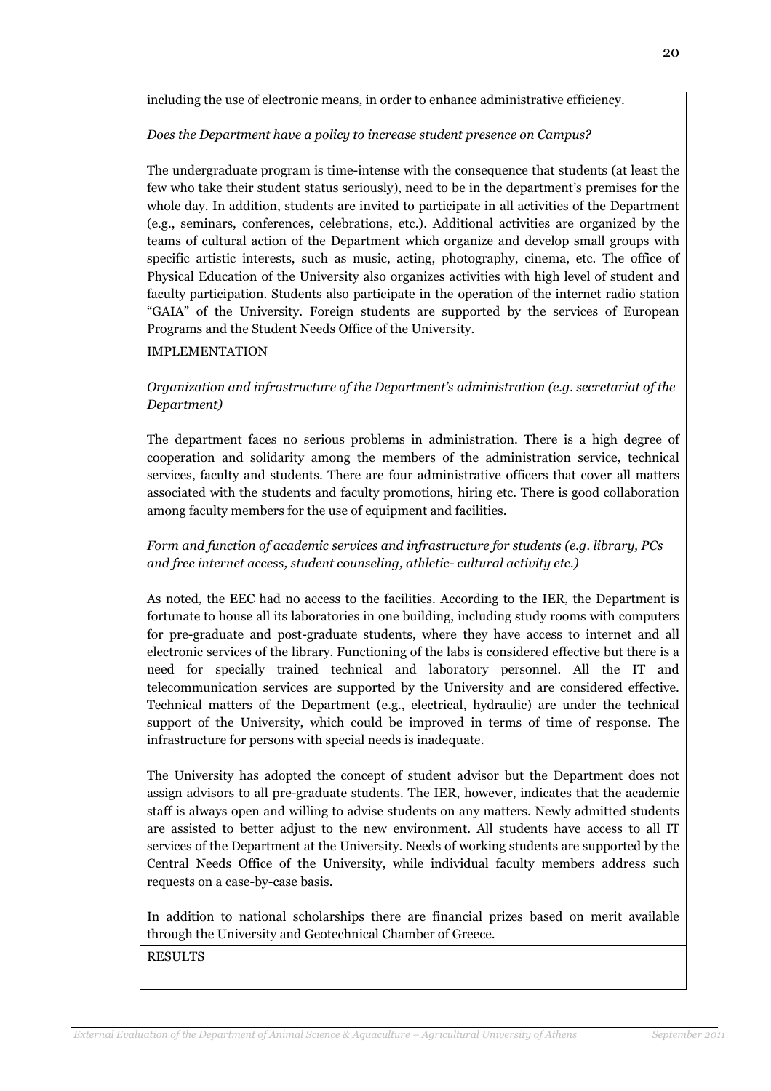including the use of electronic means, in order to enhance administrative efficiency.

Does the Department have a policy to increase student presence on Campus?

The undergraduate program is time-intense with the consequence that students (at least the few who take their student status seriously), need to be in the department's premises for the whole day. In addition, students are invited to participate in all activities of the Department (e.g., seminars, conferences, celebrations, etc.). Additional activities are organized by the teams of cultural action of the Department which organize and develop small groups with specific artistic interests, such as music, acting, photography, cinema, etc. The office of Physical Education of the University also organizes activities with high level of student and faculty participation. Students also participate in the operation of the internet radio station "GAIA" of the University. Foreign students are supported by the services of European Programs and the Student Needs Office of the University.

## IMPLEMENTATION

Organization and infrastructure of the Department's administration (e.g. secretariat of the Department)

The department faces no serious problems in administration. There is a high degree of cooperation and solidarity among the members of the administration service, technical services, faculty and students. There are four administrative officers that cover all matters associated with the students and faculty promotions, hiring etc. There is good collaboration among faculty members for the use of equipment and facilities.

Form and function of academic services and infrastructure for students (e.g. library, PCs and free internet access, student counseling, athletic- cultural activity etc.)

As noted, the EEC had no access to the facilities. According to the IER, the Department is fortunate to house all its laboratories in one building, including study rooms with computers for pre-graduate and post-graduate students, where they have access to internet and all electronic services of the library. Functioning of the labs is considered effective but there is a need for specially trained technical and laboratory personnel. All the IT and telecommunication services are supported by the University and are considered effective. Technical matters of the Department (e.g., electrical, hydraulic) are under the technical support of the University, which could be improved in terms of time of response. The infrastructure for persons with special needs is inadequate.

The University has adopted the concept of student advisor but the Department does not assign advisors to all pre-graduate students. The IER, however, indicates that the academic staff is always open and willing to advise students on any matters. Newly admitted students are assisted to better adjust to the new environment. All students have access to all IT services of the Department at the University. Needs of working students are supported by the Central Needs Office of the University, while individual faculty members address such requests on a case-by-case basis.

In addition to national scholarships there are financial prizes based on merit available through the University and Geotechnical Chamber of Greece.

RESULTS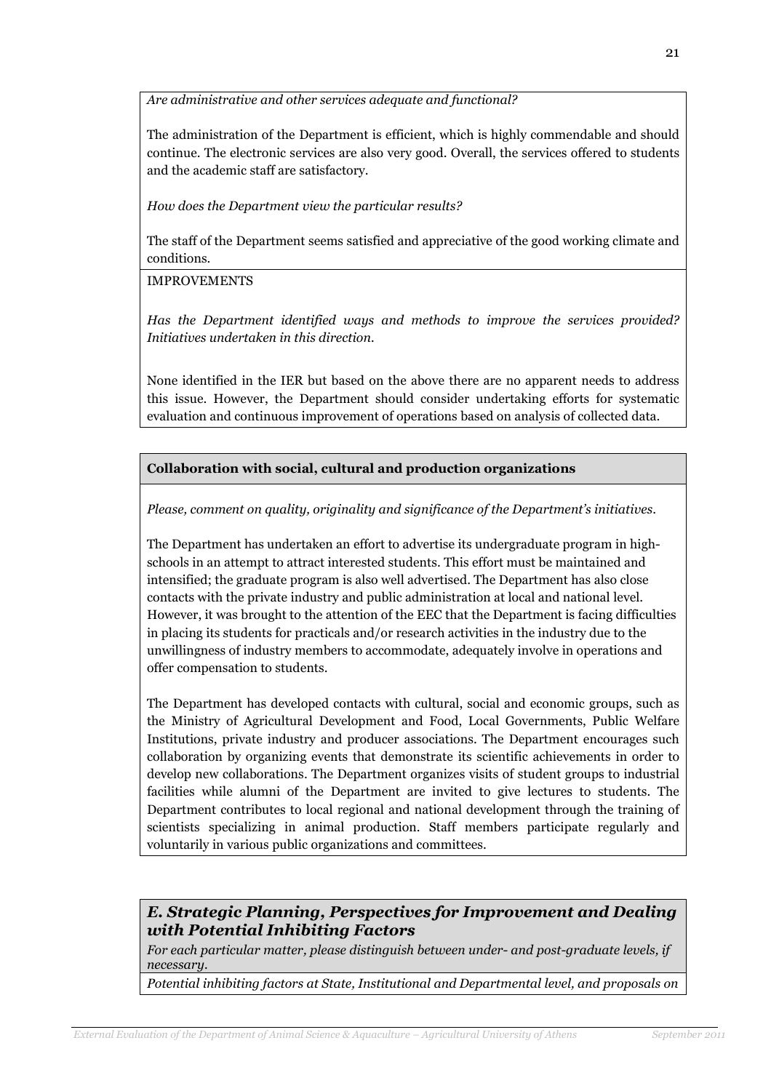Are administrative and other services adequate and functional?

The administration of the Department is efficient, which is highly commendable and should continue. The electronic services are also very good. Overall, the services offered to students and the academic staff are satisfactory.

How does the Department view the particular results?

The staff of the Department seems satisfied and appreciative of the good working climate and conditions.

IMPROVEMENTS

Has the Department identified ways and methods to improve the services provided? Initiatives undertaken in this direction.

None identified in the IER but based on the above there are no apparent needs to address this issue. However, the Department should consider undertaking efforts for systematic evaluation and continuous improvement of operations based on analysis of collected data.

Collaboration with social, cultural and production organizations

Please, comment on quality, originality and significance of the Department's initiatives.

The Department has undertaken an effort to advertise its undergraduate program in highschools in an attempt to attract interested students. This effort must be maintained and intensified; the graduate program is also well advertised. The Department has also close contacts with the private industry and public administration at local and national level. However, it was brought to the attention of the EEC that the Department is facing difficulties in placing its students for practicals and/or research activities in the industry due to the unwillingness of industry members to accommodate, adequately involve in operations and offer compensation to students.

The Department has developed contacts with cultural, social and economic groups, such as the Ministry of Agricultural Development and Food, Local Governments, Public Welfare Institutions, private industry and producer associations. The Department encourages such collaboration by organizing events that demonstrate its scientific achievements in order to develop new collaborations. The Department organizes visits of student groups to industrial facilities while alumni of the Department are invited to give lectures to students. The Department contributes to local regional and national development through the training of scientists specializing in animal production. Staff members participate regularly and voluntarily in various public organizations and committees.

## E. Strategic Planning, Perspectives for Improvement and Dealing with Potential Inhibiting Factors

For each particular matter, please distinguish between under- and post-graduate levels, if necessary.

Potential inhibiting factors at State, Institutional and Departmental level, and proposals on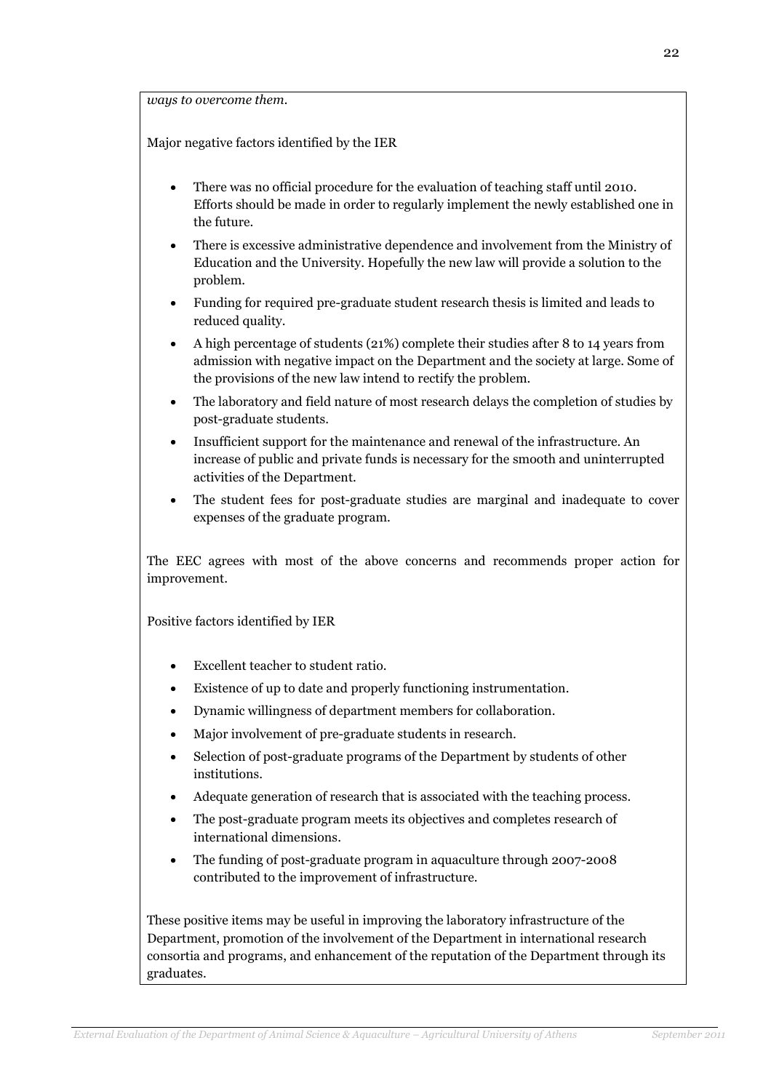ways to overcome them.

Major negative factors identified by the IER

- There was no official procedure for the evaluation of teaching staff until 2010. Efforts should be made in order to regularly implement the newly established one in the future.
- There is excessive administrative dependence and involvement from the Ministry of Education and the University. Hopefully the new law will provide a solution to the problem.
- Funding for required pre-graduate student research thesis is limited and leads to reduced quality.
- A high percentage of students (21%) complete their studies after 8 to 14 years from admission with negative impact on the Department and the society at large. Some of the provisions of the new law intend to rectify the problem.
- The laboratory and field nature of most research delays the completion of studies by post-graduate students.
- Insufficient support for the maintenance and renewal of the infrastructure. An increase of public and private funds is necessary for the smooth and uninterrupted activities of the Department.
- The student fees for post-graduate studies are marginal and inadequate to cover expenses of the graduate program.

The EEC agrees with most of the above concerns and recommends proper action for improvement.

Positive factors identified by IER

- Excellent teacher to student ratio.
- Existence of up to date and properly functioning instrumentation.
- Dynamic willingness of department members for collaboration.
- Major involvement of pre-graduate students in research.
- Selection of post-graduate programs of the Department by students of other institutions.
- Adequate generation of research that is associated with the teaching process.
- The post-graduate program meets its objectives and completes research of international dimensions.
- The funding of post-graduate program in aquaculture through 2007-2008 contributed to the improvement of infrastructure.

These positive items may be useful in improving the laboratory infrastructure of the Department, promotion of the involvement of the Department in international research consortia and programs, and enhancement of the reputation of the Department through its graduates.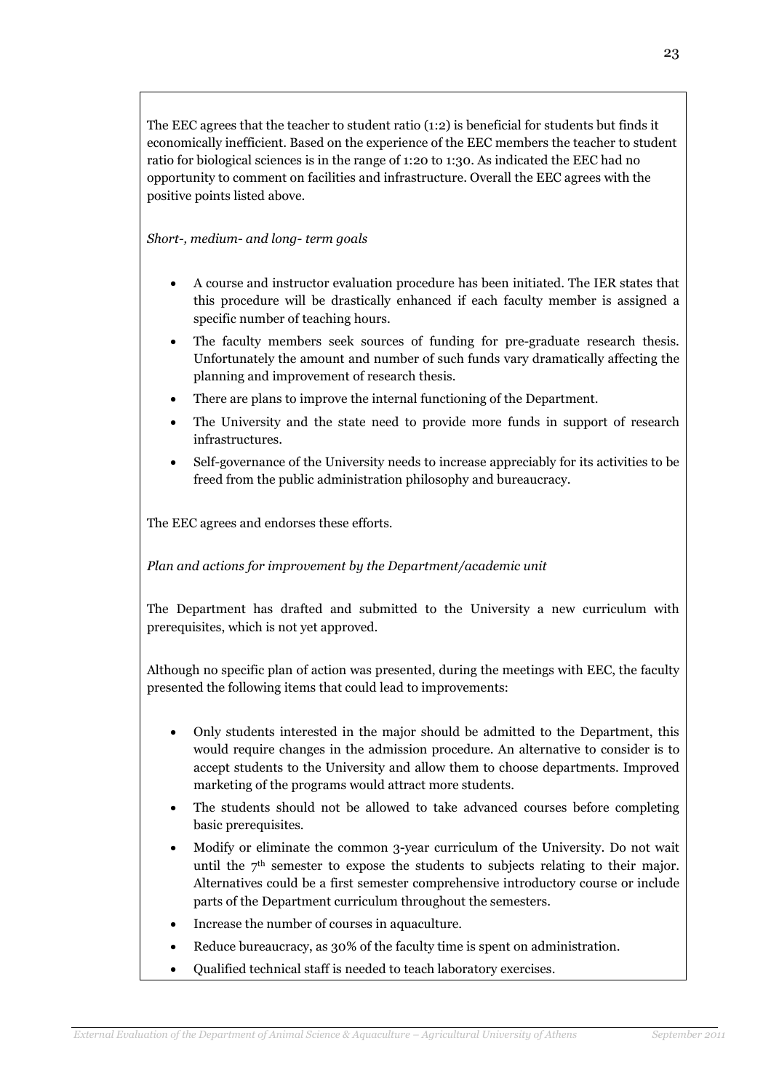The EEC agrees that the teacher to student ratio (1:2) is beneficial for students but finds it economically inefficient. Based on the experience of the EEC members the teacher to student ratio for biological sciences is in the range of 1:20 to 1:30. As indicated the EEC had no opportunity to comment on facilities and infrastructure. Overall the EEC agrees with the positive points listed above.

Short-, medium- and long- term goals

- A course and instructor evaluation procedure has been initiated. The IER states that this procedure will be drastically enhanced if each faculty member is assigned a specific number of teaching hours.
- The faculty members seek sources of funding for pre-graduate research thesis. Unfortunately the amount and number of such funds vary dramatically affecting the planning and improvement of research thesis.
- There are plans to improve the internal functioning of the Department.
- The University and the state need to provide more funds in support of research infrastructures.
- Self-governance of the University needs to increase appreciably for its activities to be freed from the public administration philosophy and bureaucracy.

The EEC agrees and endorses these efforts.

Plan and actions for improvement by the Department/academic unit

The Department has drafted and submitted to the University a new curriculum with prerequisites, which is not yet approved.

Although no specific plan of action was presented, during the meetings with EEC, the faculty presented the following items that could lead to improvements:

- Only students interested in the major should be admitted to the Department, this would require changes in the admission procedure. An alternative to consider is to accept students to the University and allow them to choose departments. Improved marketing of the programs would attract more students.
- The students should not be allowed to take advanced courses before completing basic prerequisites.
- Modify or eliminate the common 3-year curriculum of the University. Do not wait until the 7th semester to expose the students to subjects relating to their major. Alternatives could be a first semester comprehensive introductory course or include parts of the Department curriculum throughout the semesters.
- Increase the number of courses in aquaculture.
- Reduce bureaucracy, as 30% of the faculty time is spent on administration.
- Qualified technical staff is needed to teach laboratory exercises.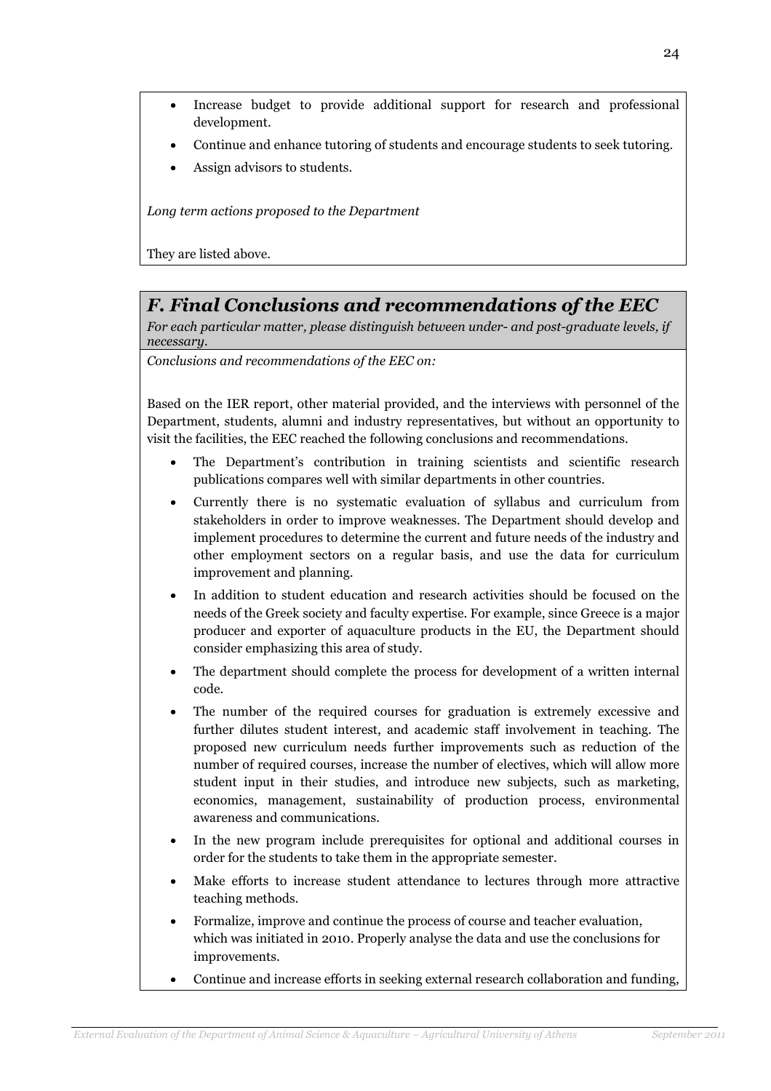- Increase budget to provide additional support for research and professional development.
- Continue and enhance tutoring of students and encourage students to seek tutoring.
- Assign advisors to students.

Long term actions proposed to the Department

They are listed above.

# F. Final Conclusions and recommendations of the EEC

For each particular matter, please distinguish between under- and post-graduate levels, if necessary.

Conclusions and recommendations of the EEC on:

Based on the IER report, other material provided, and the interviews with personnel of the Department, students, alumni and industry representatives, but without an opportunity to visit the facilities, the EEC reached the following conclusions and recommendations.

- The Department's contribution in training scientists and scientific research publications compares well with similar departments in other countries.
- Currently there is no systematic evaluation of syllabus and curriculum from stakeholders in order to improve weaknesses. The Department should develop and implement procedures to determine the current and future needs of the industry and other employment sectors on a regular basis, and use the data for curriculum improvement and planning.
- In addition to student education and research activities should be focused on the needs of the Greek society and faculty expertise. For example, since Greece is a major producer and exporter of aquaculture products in the EU, the Department should consider emphasizing this area of study.
- The department should complete the process for development of a written internal code.
- The number of the required courses for graduation is extremely excessive and further dilutes student interest, and academic staff involvement in teaching. The proposed new curriculum needs further improvements such as reduction of the number of required courses, increase the number of electives, which will allow more student input in their studies, and introduce new subjects, such as marketing, economics, management, sustainability of production process, environmental awareness and communications.
- In the new program include prerequisites for optional and additional courses in order for the students to take them in the appropriate semester.
- Make efforts to increase student attendance to lectures through more attractive teaching methods.
- Formalize, improve and continue the process of course and teacher evaluation, which was initiated in 2010. Properly analyse the data and use the conclusions for improvements.
- Continue and increase efforts in seeking external research collaboration and funding,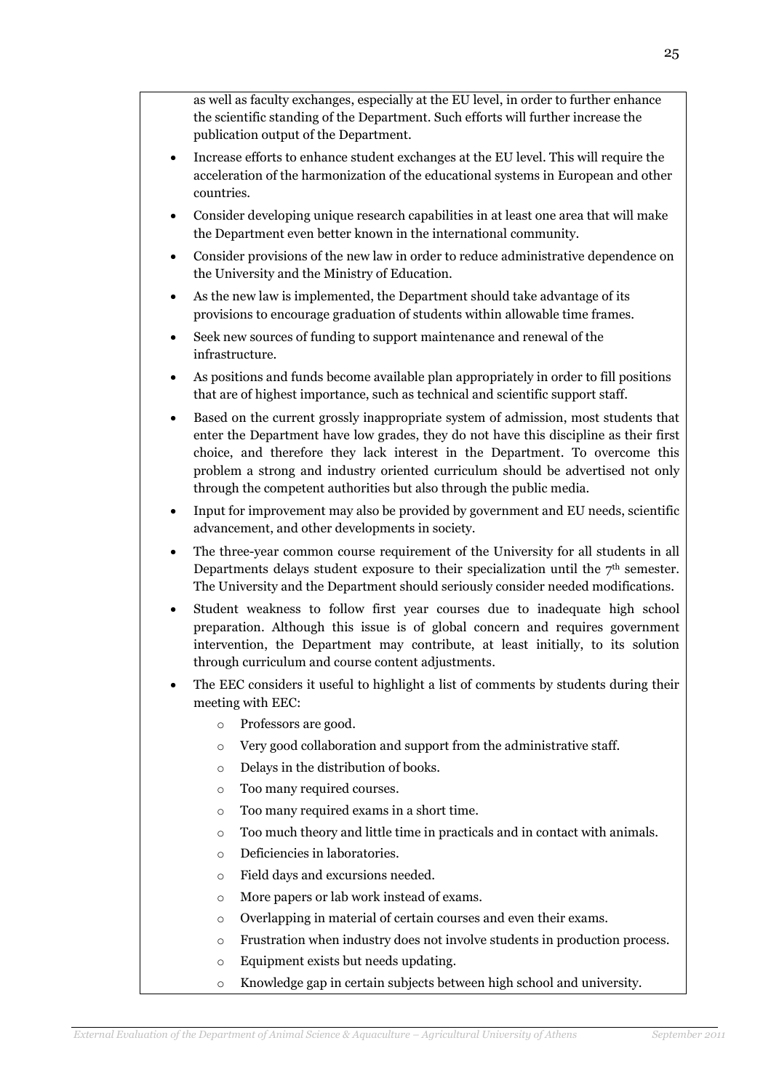as well as faculty exchanges, especially at the EU level, in order to further enhance the scientific standing of the Department. Such efforts will further increase the publication output of the Department.

- Increase efforts to enhance student exchanges at the EU level. This will require the acceleration of the harmonization of the educational systems in European and other countries.
- Consider developing unique research capabilities in at least one area that will make the Department even better known in the international community.
- Consider provisions of the new law in order to reduce administrative dependence on the University and the Ministry of Education.
- As the new law is implemented, the Department should take advantage of its provisions to encourage graduation of students within allowable time frames.
- Seek new sources of funding to support maintenance and renewal of the infrastructure.
- As positions and funds become available plan appropriately in order to fill positions that are of highest importance, such as technical and scientific support staff.
- Based on the current grossly inappropriate system of admission, most students that enter the Department have low grades, they do not have this discipline as their first choice, and therefore they lack interest in the Department. To overcome this problem a strong and industry oriented curriculum should be advertised not only through the competent authorities but also through the public media.
- Input for improvement may also be provided by government and EU needs, scientific advancement, and other developments in society.
- The three-year common course requirement of the University for all students in all Departments delays student exposure to their specialization until the  $7<sup>th</sup>$  semester. The University and the Department should seriously consider needed modifications.
- Student weakness to follow first year courses due to inadequate high school preparation. Although this issue is of global concern and requires government intervention, the Department may contribute, at least initially, to its solution through curriculum and course content adjustments.
- The EEC considers it useful to highlight a list of comments by students during their meeting with EEC:
	- o Professors are good.
	- o Very good collaboration and support from the administrative staff.
	- o Delays in the distribution of books.
	- o Too many required courses.
	- o Too many required exams in a short time.
	- o Too much theory and little time in practicals and in contact with animals.
	- o Deficiencies in laboratories.
	- o Field days and excursions needed.
	- o More papers or lab work instead of exams.
	- o Overlapping in material of certain courses and even their exams.
	- o Frustration when industry does not involve students in production process.
	- o Equipment exists but needs updating.
	- o Knowledge gap in certain subjects between high school and university.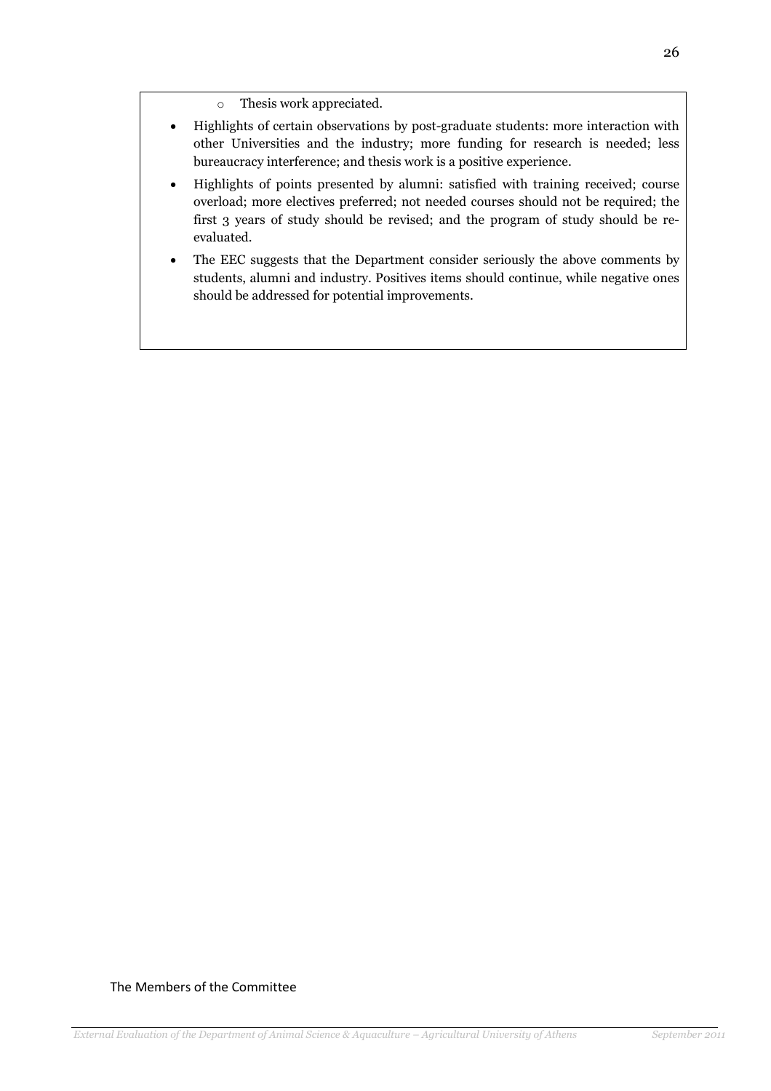- Highlights of certain observations by post-graduate students: more interaction with other Universities and the industry; more funding for research is needed; less bureaucracy interference; and thesis work is a positive experience.
- Highlights of points presented by alumni: satisfied with training received; course overload; more electives preferred; not needed courses should not be required; the first 3 years of study should be revised; and the program of study should be reevaluated.
- The EEC suggests that the Department consider seriously the above comments by students, alumni and industry. Positives items should continue, while negative ones should be addressed for potential improvements.

## The Members of the Committee